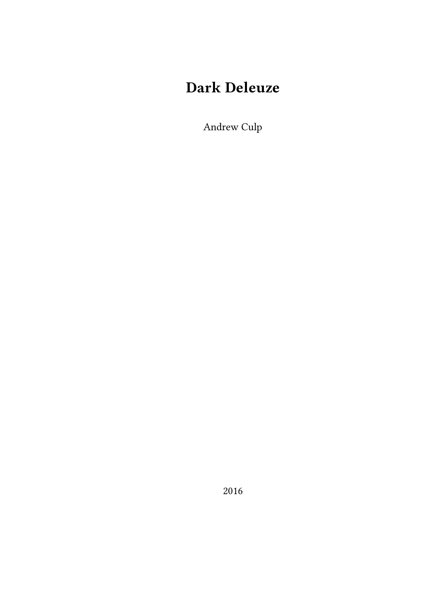# **Dark Deleuze**

Andrew Culp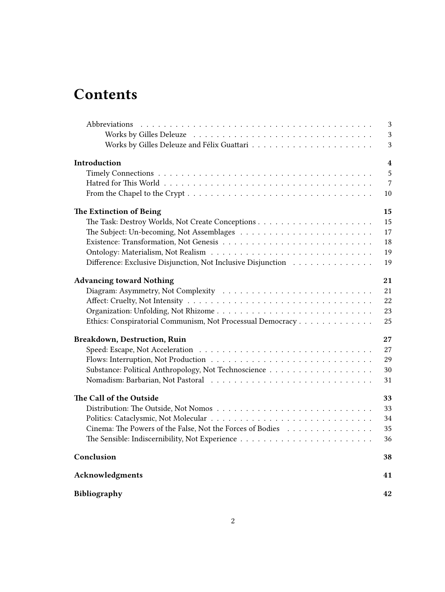# **Contents**

|                                                              | $\sqrt{3}$     |
|--------------------------------------------------------------|----------------|
|                                                              | 3              |
|                                                              | 3              |
| Introduction                                                 | $\bf{4}$       |
|                                                              | 5              |
|                                                              | $\overline{7}$ |
|                                                              | $10\,$         |
| The Extinction of Being                                      | 15             |
|                                                              | 15             |
|                                                              | 17             |
|                                                              | 18             |
|                                                              | 19             |
| Difference: Exclusive Disjunction, Not Inclusive Disjunction | 19             |
| <b>Advancing toward Nothing</b>                              | 21             |
|                                                              | 21             |
|                                                              | 22             |
|                                                              | 23             |
| Ethics: Conspiratorial Communism, Not Processual Democracy   | 25             |
| Breakdown, Destruction, Ruin                                 | 27             |
|                                                              | 27             |
|                                                              | 29             |
|                                                              | 30             |
|                                                              | 31             |
| The Call of the Outside                                      | 33             |
|                                                              | 33             |
|                                                              | 34             |
| Cinema: The Powers of the False, Not the Forces of Bodies    | 35             |
|                                                              | 36             |
| Conclusion                                                   | 38             |
| Acknowledgments                                              | 41             |
| Bibliography                                                 | 42             |
|                                                              |                |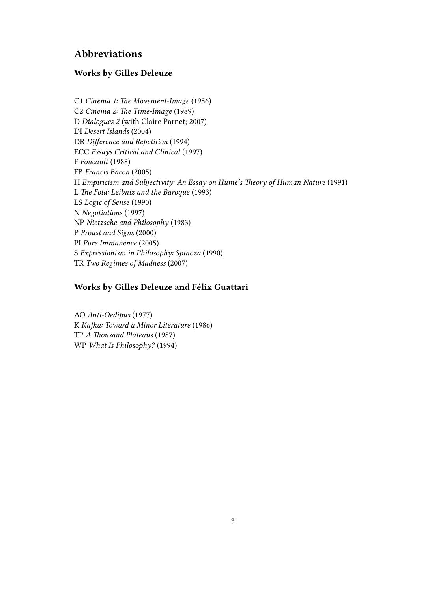## <span id="page-2-0"></span>**Abbreviations**

#### <span id="page-2-1"></span>**Works by Gilles Deleuze**

C1 *Cinema 1: The Movement-Image* (1986) C2 *Cinema 2: The Time-Image* (1989) D *Dialogues 2* (with Claire Parnet; 2007) DI *Desert Islands* (2004) DR *Difference and Repetition* (1994) ECC *Essays Critical and Clinical* (1997) F *Foucault* (1988) FB *Francis Bacon* (2005) H *Empiricism and Subjectivity: An Essay on Hume's Theory of Human Nature* (1991) L *The Fold: Leibniz and the Baroque* (1993) LS *Logic of Sense* (1990) N *Negotiations* (1997) NP *Nietzsche and Philosophy* (1983) P *Proust and Signs* (2000) PI *Pure Immanence* (2005) S *Expressionism in Philosophy: Spinoza* (1990) TR *Two Regimes of Madness* (2007)

#### <span id="page-2-2"></span>**Works by Gilles Deleuze and Félix Guattari**

AO *Anti-Oedipus* (1977) K *Kafka: Toward a Minor Literature* (1986) TP *A Thousand Plateaus* (1987) WP *What Is Philosophy?* (1994)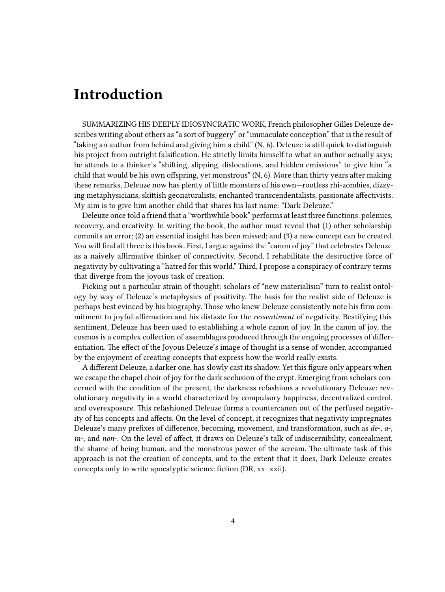## <span id="page-3-0"></span>**Introduction**

SUMMARIZING HIS DEEPLY IDIOSYNCRATIC WORK, French philosopher Gilles Deleuze describes writing about others as "a sort of buggery" or "immaculate conception" that is the result of "taking an author from behind and giving him a child" (N, 6). Deleuze is still quick to distinguish his project from outright falsification. He strictly limits himself to what an author actually says; he attends to a thinker's "shifting, slipping, dislocations, and hidden emissions" to give him "a child that would be his own offspring, yet monstrous" (N, 6). More than thirty years after making these remarks, Deleuze now has plenty of little monsters of his own—rootless rhi-zombies, dizzying metaphysicians, skittish geonaturalists, enchanted transcendentalists, passionate affectivists. My aim is to give him another child that shares his last name: "Dark Deleuze."

Deleuze once told a friend that a "worthwhile book" performs at least three functions: polemics, recovery, and creativity. In writing the book, the author must reveal that (1) other scholarship commits an error; (2) an essential insight has been missed; and (3) a new concept can be created. You will find all three is this book. First, I argue against the "canon of joy" that celebrates Deleuze as a naively affirmative thinker of connectivity. Second, I rehabilitate the destructive force of negativity by cultivating a "hatred for this world." Third, I propose a conspiracy of contrary terms that diverge from the joyous task of creation.

Picking out a particular strain of thought: scholars of "new materialism" turn to realist ontology by way of Deleuze's metaphysics of positivity. The basis for the realist side of Deleuze is perhaps best evinced by his biography. Those who knew Deleuze consistently note his firm commitment to joyful affirmation and his distaste for the *ressentiment* of negativity. Beatifying this sentiment, Deleuze has been used to establishing a whole canon of joy. In the canon of joy, the cosmos is a complex collection of assemblages produced through the ongoing processes of differentiation. The effect of the Joyous Deleuze's image of thought is a sense of wonder, accompanied by the enjoyment of creating concepts that express how the world really exists.

A different Deleuze, a darker one, has slowly cast its shadow. Yet this figure only appears when we escape the chapel choir of joy for the dark seclusion of the crypt. Emerging from scholars concerned with the condition of the present, the darkness refashions a revolutionary Deleuze: revolutionary negativity in a world characterized by compulsory happiness, decentralized control, and overexposure. This refashioned Deleuze forms a countercanon out of the perfused negativity of his concepts and affects. On the level of concept, it recognizes that negativity impregnates Deleuze's many prefixes of difference, becoming, movement, and transformation, such as *de*-, *a*-, *in*-, and *non*-. On the level of affect, it draws on Deleuze's talk of indiscernibility, concealment, the shame of being human, and the monstrous power of the scream. The ultimate task of this approach is not the creation of concepts, and to the extent that it does, Dark Deleuze creates concepts only to write apocalyptic science fiction (DR, xx–xxii).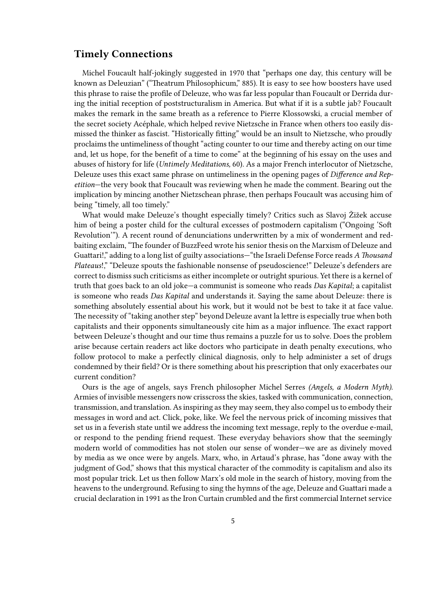## <span id="page-4-0"></span>**Timely Connections**

Michel Foucault half-jokingly suggested in 1970 that "perhaps one day, this century will be known as Deleuzian" ("Theatrum Philosophicum," 885). It is easy to see how boosters have used this phrase to raise the profile of Deleuze, who was far less popular than Foucault or Derrida during the initial reception of poststructuralism in America. But what if it is a subtle jab? Foucault makes the remark in the same breath as a reference to Pierre Klossowski, a crucial member of the secret society Acéphale, which helped revive Nietzsche in France when others too easily dismissed the thinker as fascist. "Historically fitting" would be an insult to Nietzsche, who proudly proclaims the untimeliness of thought "acting counter to our time and thereby acting on our time and, let us hope, for the benefit of a time to come" at the beginning of his essay on the uses and abuses of history for life (*Untimely Meditations,* 60). As a major French interlocutor of Nietzsche, Deleuze uses this exact same phrase on untimeliness in the opening pages of *Difference and Repetition*—the very book that Foucault was reviewing when he made the comment. Bearing out the implication by mincing another Nietzschean phrase, then perhaps Foucault was accusing him of being "timely, all too timely."

What would make Deleuze's thought especially timely? Critics such as Slavoj Žižek accuse him of being a poster child for the cultural excesses of postmodern capitalism ("Ongoing 'Soft Revolution'"). A recent round of denunciations underwritten by a mix of wonderment and redbaiting exclaim, "The founder of BuzzFeed wrote his senior thesis on the Marxism of Deleuze and Guattari!," adding to a long list of guilty associations—"the Israeli Defense Force reads *A Thousand Plateaus*!," "Deleuze spouts the fashionable nonsense of pseudoscience!" Deleuze's defenders are correct to dismiss such criticisms as either incomplete or outright spurious. Yet there is a kernel of truth that goes back to an old joke—a communist is someone who reads *Das Kapital*; a capitalist is someone who reads *Das Kapital* and understands it. Saying the same about Deleuze: there is something absolutely essential about his work, but it would not be best to take it at face value. The necessity of "taking another step" beyond Deleuze avant la lettre is especially true when both capitalists and their opponents simultaneously cite him as a major influence. The exact rapport between Deleuze's thought and our time thus remains a puzzle for us to solve. Does the problem arise because certain readers act like doctors who participate in death penalty executions, who follow protocol to make a perfectly clinical diagnosis, only to help administer a set of drugs condemned by their field? Or is there something about his prescription that only exacerbates our current condition?

Ours is the age of angels, says French philosopher Michel Serres *(Angels, a Modern Myth)*. Armies of invisible messengers now crisscross the skies, tasked with communication, connection, transmission, and translation. As inspiring as they may seem, they also compel us to embody their messages in word and act. Click, poke, like. We feel the nervous prick of incoming missives that set us in a feverish state until we address the incoming text message, reply to the overdue e-mail, or respond to the pending friend request. These everyday behaviors show that the seemingly modern world of commodities has not stolen our sense of wonder—we are as divinely moved by media as we once were by angels. Marx, who, in Artaud's phrase, has "done away with the judgment of God," shows that this mystical character of the commodity is capitalism and also its most popular trick. Let us then follow Marx's old mole in the search of history, moving from the heavens to the underground. Refusing to sing the hymns of the age, Deleuze and Guattari made a crucial declaration in 1991 as the Iron Curtain crumbled and the first commercial Internet service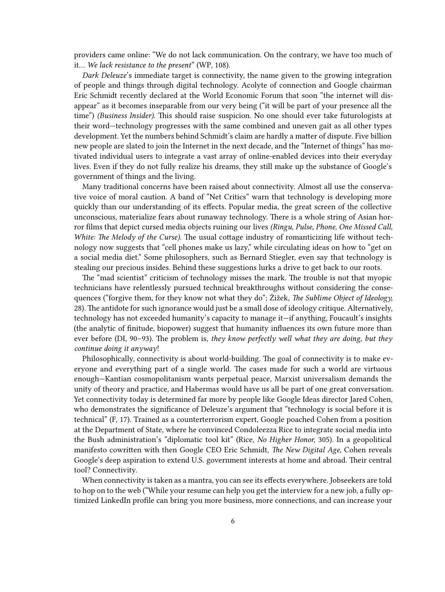providers came online: "We do not lack communication. On the contrary, we have too much of it… *We lack resistance to the present*" (WP, 108).

*Dark Deleuze*'s immediate target is connectivity, the name given to the growing integration of people and things through digital technology. Acolyte of connection and Google chairman Eric Schmidt recently declared at the World Economic Forum that soon "the internet will disappear" as it becomes inseparable from our very being ("it will be part of your presence all the time") *(Business Insider)*. This should raise suspicion. No one should ever take futurologists at their word—technology progresses with the same combined and uneven gait as all other types development. Yet the numbers behind Schmidt's claim are hardly a matter of dispute. Five billion new people are slated to join the Internet in the next decade, and the "Internet of things" has motivated individual users to integrate a vast array of online-enabled devices into their everyday lives. Even if they do not fully realize his dreams, they still make up the substance of Google's government of things and the living.

Many traditional concerns have been raised about connectivity. Almost all use the conservative voice of moral caution. A band of "Net Critics" warn that technology is developing more quickly than our understanding of its effects. Popular media, the great screen of the collective unconscious, materialize fears about runaway technology. There is a whole string of Asian horror films that depict cursed media objects ruining our lives *(Ringu, Pulse, Phone, One Missed Call, White: The Melody of the Curse)*. The usual cottage industry of romanticizing life without technology now suggests that "cell phones make us lazy," while circulating ideas on how to "get on a social media diet." Some philosophers, such as Bernard Stiegler, even say that technology is stealing our precious insides. Behind these suggestions lurks a drive to get back to our roots.

The "mad scientist" criticism of technology misses the mark. The trouble is not that myopic technicians have relentlessly pursued technical breakthroughs without considering the consequences ("forgive them, for they know not what they do"; Žižek, *The Sublime Object of Ideology,* 28). The antidote for such ignorance would just be a small dose of ideology critique. Alternatively, technology has not exceeded humanity's capacity to manage it—if anything, Foucault's insights (the analytic of finitude, biopower) suggest that humanity influences its own future more than ever before (DI, 90–93). The problem is, *they know perfectly well what they are doing, but they continue doing it anyway*!

Philosophically, connectivity is about world-building. The goal of connectivity is to make everyone and everything part of a single world. The cases made for such a world are virtuous enough—Kantian cosmopolitanism wants perpetual peace, Marxist universalism demands the unity of theory and practice, and Habermas would have us all be part of one great conversation. Yet connectivity today is determined far more by people like Google Ideas director Jared Cohen, who demonstrates the significance of Deleuze's argument that "technology is social before it is technical" (F, 17). Trained as a counterterrorism expert, Google poached Cohen from a position at the Department of State, where he convinced Condoleezza Rice to integrate social media into the Bush administration's "diplomatic tool kit" (Rice, *No Higher Honor,* 305). In a geopolitical manifesto cowritten with then Google CEO Eric Schmidt, *The New Digital Age,* Cohen reveals Google's deep aspiration to extend U.S. government interests at home and abroad. Their central tool? Connectivity.

When connectivity is taken as a mantra, you can see its effects everywhere. Jobseekers are told to hop on to the web ("While your resume can help you get the interview for a new job, a fully optimized LinkedIn profile can bring you more business, more connections, and can increase your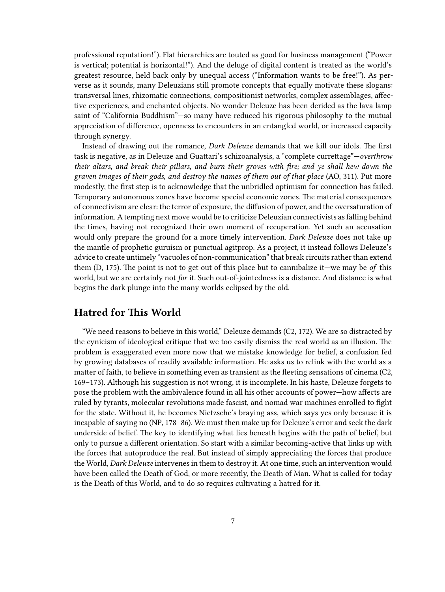professional reputation!"). Flat hierarchies are touted as good for business management ("Power is vertical; potential is horizontal!"). And the deluge of digital content is treated as the world's greatest resource, held back only by unequal access ("Information wants to be free!"). As perverse as it sounds, many Deleuzians still promote concepts that equally motivate these slogans: transversal lines, rhizomatic connections, compositionist networks, complex assemblages, affective experiences, and enchanted objects. No wonder Deleuze has been derided as the lava lamp saint of "California Buddhism"—so many have reduced his rigorous philosophy to the mutual appreciation of difference, openness to encounters in an entangled world, or increased capacity through synergy.

Instead of drawing out the romance, *Dark Deleuze* demands that we kill our idols. The first task is negative, as in Deleuze and Guattari's schizoanalysis, a "complete currettage"—*overthrow their altars, and break their pillars, and burn their groves with fire; and ye shall hew down the graven images of their gods, and destroy the names of them out of that place* (AO, 311). Put more modestly, the first step is to acknowledge that the unbridled optimism for connection has failed. Temporary autonomous zones have become special economic zones. The material consequences of connectivism are clear: the terror of exposure, the diffusion of power, and the oversaturation of information. A tempting next move would be to criticize Deleuzian connectivists as falling behind the times, having not recognized their own moment of recuperation. Yet such an accusation would only prepare the ground for a more timely intervention. *Dark Deleuze* does not take up the mantle of prophetic guruism or punctual agitprop. As a project, it instead follows Deleuze's advice to create untimely "vacuoles of non-communication" that break circuits rather than extend them (D, 175). The point is not to get out of this place but to cannibalize it—we may be *of* this world, but we are certainly not *for* it. Such out-of-jointedness is a distance. And distance is what begins the dark plunge into the many worlds eclipsed by the old.

## <span id="page-6-0"></span>**Hatred for This World**

"We need reasons to believe in this world," Deleuze demands (C2, 172). We are so distracted by the cynicism of ideological critique that we too easily dismiss the real world as an illusion. The problem is exaggerated even more now that we mistake knowledge for belief, a confusion fed by growing databases of readily available information. He asks us to relink with the world as a matter of faith, to believe in something even as transient as the fleeting sensations of cinema (C2, 169–173). Although his suggestion is not wrong, it is incomplete. In his haste, Deleuze forgets to pose the problem with the ambivalence found in all his other accounts of power—how affects are ruled by tyrants, molecular revolutions made fascist, and nomad war machines enrolled to fight for the state. Without it, he becomes Nietzsche's braying ass, which says yes only because it is incapable of saying no (NP, 178–86). We must then make up for Deleuze's error and seek the dark underside of belief. The key to identifying what lies beneath begins with the path of belief, but only to pursue a different orientation. So start with a similar becoming-active that links up with the forces that autoproduce the real. But instead of simply appreciating the forces that produce the World, *Dark Deleuze* intervenes in them to destroy it. At one time, such an intervention would have been called the Death of God, or more recently, the Death of Man. What is called for today is the Death of this World, and to do so requires cultivating a hatred for it.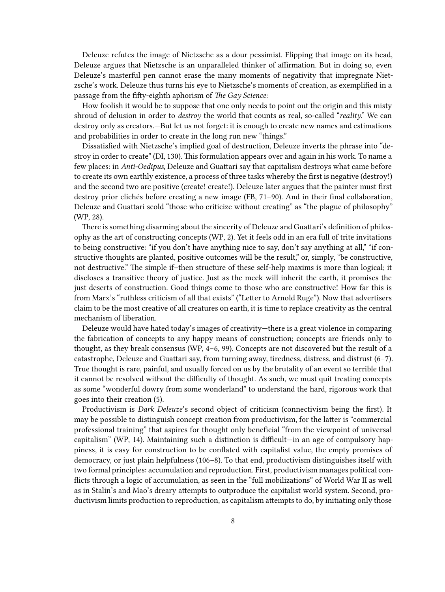Deleuze refutes the image of Nietzsche as a dour pessimist. Flipping that image on its head, Deleuze argues that Nietzsche is an unparalleled thinker of affirmation. But in doing so, even Deleuze's masterful pen cannot erase the many moments of negativity that impregnate Nietzsche's work. Deleuze thus turns his eye to Nietzsche's moments of creation, as exemplified in a passage from the fifty-eighth aphorism of *The Gay Science*:

How foolish it would be to suppose that one only needs to point out the origin and this misty shroud of delusion in order to *destroy* the world that counts as real, so-called "*reality*." We can destroy only as creators.—But let us not forget: it is enough to create new names and estimations and probabilities in order to create in the long run new "things."

Dissatisfied with Nietzsche's implied goal of destruction, Deleuze inverts the phrase into "destroy in order to create" (DI, 130). This formulation appears over and again in his work. To name a few places: in *Anti-Oedipus,* Deleuze and Guattari say that capitalism destroys what came before to create its own earthly existence, a process of three tasks whereby the first is negative (destroy!) and the second two are positive (create! create!). Deleuze later argues that the painter must first destroy prior clichés before creating a new image (FB, 71–90). And in their final collaboration, Deleuze and Guattari scold "those who criticize without creating" as "the plague of philosophy" (WP, 28).

There is something disarming about the sincerity of Deleuze and Guattari's definition of philosophy as the art of constructing concepts (WP, 2). Yet it feels odd in an era full of trite invitations to being constructive: "if you don't have anything nice to say, don't say anything at all," "if constructive thoughts are planted, positive outcomes will be the result," or, simply, "be constructive, not destructive." The simple if–then structure of these self-help maxims is more than logical; it discloses a transitive theory of justice. Just as the meek will inherit the earth, it promises the just deserts of construction. Good things come to those who are constructive! How far this is from Marx's "ruthless criticism of all that exists" ("Letter to Arnold Ruge"). Now that advertisers claim to be the most creative of all creatures on earth, it is time to replace creativity as the central mechanism of liberation.

Deleuze would have hated today's images of creativity—there is a great violence in comparing the fabrication of concepts to any happy means of construction; concepts are friends only to thought, as they break consensus (WP, 4–6, 99). Concepts are not discovered but the result of a catastrophe, Deleuze and Guattari say, from turning away, tiredness, distress, and distrust (6–7). True thought is rare, painful, and usually forced on us by the brutality of an event so terrible that it cannot be resolved without the difficulty of thought. As such, we must quit treating concepts as some "wonderful dowry from some wonderland" to understand the hard, rigorous work that goes into their creation (5).

Productivism is *Dark Deleuze*'s second object of criticism (connectivism being the first). It may be possible to distinguish concept creation from productivism, for the latter is "commercial professional training" that aspires for thought only beneficial "from the viewpoint of universal capitalism" (WP, 14). Maintaining such a distinction is difficult—in an age of compulsory happiness, it is easy for construction to be conflated with capitalist value, the empty promises of democracy, or just plain helpfulness (106–8). To that end, productivism distinguishes itself with two formal principles: accumulation and reproduction. First, productivism manages political conflicts through a logic of accumulation, as seen in the "full mobilizations" of World War II as well as in Stalin's and Mao's dreary attempts to outproduce the capitalist world system. Second, productivism limits production to reproduction, as capitalism attempts to do, by initiating only those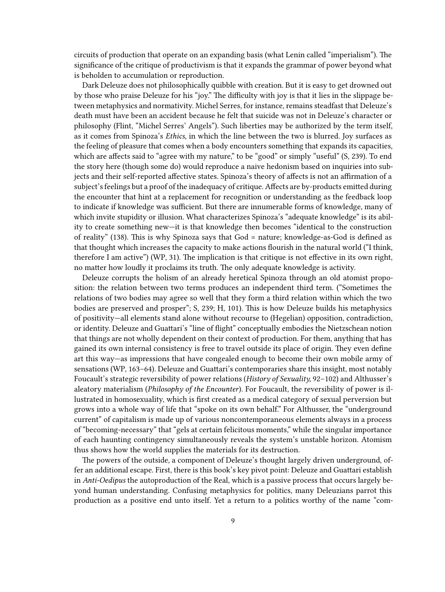circuits of production that operate on an expanding basis (what Lenin called "imperialism"). The significance of the critique of productivism is that it expands the grammar of power beyond what is beholden to accumulation or reproduction.

Dark Deleuze does not philosophically quibble with creation. But it is easy to get drowned out by those who praise Deleuze for his "joy." The difficulty with joy is that it lies in the slippage between metaphysics and normativity. Michel Serres, for instance, remains steadfast that Deleuze's death must have been an accident because he felt that suicide was not in Deleuze's character or philosophy (Flint, "Michel Serres' Angels"). Such liberties may be authorized by the term itself, as it comes from Spinoza's *Ethics,* in which the line between the two is blurred. Joy surfaces as the feeling of pleasure that comes when a body encounters something that expands its capacities, which are affects said to "agree with my nature," to be "good" or simply "useful" (S, 239). To end the story here (though some do) would reproduce a naive hedonism based on inquiries into subjects and their self-reported affective states. Spinoza's theory of affects is not an affirmation of a subject's feelings but a proof of the inadequacy of critique. Affects are by-products emitted during the encounter that hint at a replacement for recognition or understanding as the feedback loop to indicate if knowledge was sufficient. But there are innumerable forms of knowledge, many of which invite stupidity or illusion. What characterizes Spinoza's "adequate knowledge" is its ability to create something new—it is that knowledge then becomes "identical to the construction of reality" (138). This is why Spinoza says that God = nature; knowledge-as-God is defined as that thought which increases the capacity to make actions flourish in the natural world ("I think, therefore I am active") (WP, 31). The implication is that critique is not effective in its own right, no matter how loudly it proclaims its truth. The only adequate knowledge is activity.

Deleuze corrupts the holism of an already heretical Spinoza through an old atomist proposition: the relation between two terms produces an independent third term. ("Sometimes the relations of two bodies may agree so well that they form a third relation within which the two bodies are preserved and prosper"; S, 239; H, 101). This is how Deleuze builds his metaphysics of positivity—all elements stand alone without recourse to (Hegelian) opposition, contradiction, or identity. Deleuze and Guattari's "line of flight" conceptually embodies the Nietzschean notion that things are not wholly dependent on their context of production. For them, anything that has gained its own internal consistency is free to travel outside its place of origin. They even define art this way—as impressions that have congealed enough to become their own mobile army of sensations (WP, 163–64). Deleuze and Guattari's contemporaries share this insight, most notably Foucault's strategic reversibility of power relations (*History of Sexuality,* 92–102) and Althusser's aleatory materialism (*Philosophy of the Encounter*). For Foucault, the reversibility of power is illustrated in homosexuality, which is first created as a medical category of sexual perversion but grows into a whole way of life that "spoke on its own behalf." For Althusser, the "underground current" of capitalism is made up of various noncontemporaneous elements always in a process of "becoming-necessary" that "gels at certain felicitous moments," while the singular importance of each haunting contingency simultaneously reveals the system's unstable horizon. Atomism thus shows how the world supplies the materials for its destruction.

The powers of the outside, a component of Deleuze's thought largely driven underground, offer an additional escape. First, there is this book's key pivot point: Deleuze and Guattari establish in *Anti-Oedipus* the autoproduction of the Real, which is a passive process that occurs largely beyond human understanding. Confusing metaphysics for politics, many Deleuzians parrot this production as a positive end unto itself. Yet a return to a politics worthy of the name "com-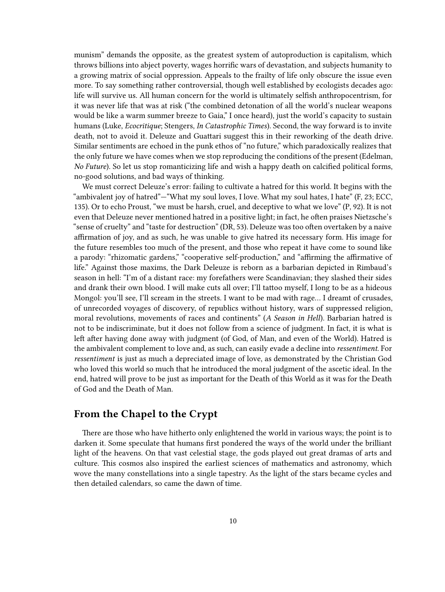munism" demands the opposite, as the greatest system of autoproduction is capitalism, which throws billions into abject poverty, wages horrific wars of devastation, and subjects humanity to a growing matrix of social oppression. Appeals to the frailty of life only obscure the issue even more. To say something rather controversial, though well established by ecologists decades ago: life will survive us. All human concern for the world is ultimately selfish anthropocentrism, for it was never life that was at risk ("the combined detonation of all the world's nuclear weapons would be like a warm summer breeze to Gaia," I once heard), just the world's capacity to sustain humans (Luke, *Ecocritique*; Stengers, *In Catastrophic Times*). Second, the way forward is to invite death, not to avoid it. Deleuze and Guattari suggest this in their reworking of the death drive. Similar sentiments are echoed in the punk ethos of "no future," which paradoxically realizes that the only future we have comes when we stop reproducing the conditions of the present (Edelman, *No Future*). So let us stop romanticizing life and wish a happy death on calcified political forms, no-good solutions, and bad ways of thinking.

We must correct Deleuze's error: failing to cultivate a hatred for this world. It begins with the "ambivalent joy of hatred"—"What my soul loves, I love. What my soul hates, I hate" (F, 23; ECC, 135). Or to echo Proust, "we must be harsh, cruel, and deceptive to what we love" (P, 92). It is not even that Deleuze never mentioned hatred in a positive light; in fact, he often praises Nietzsche's "sense of cruelty" and "taste for destruction" (DR, 53). Deleuze was too often overtaken by a naive affirmation of joy, and as such, he was unable to give hatred its necessary form. His image for the future resembles too much of the present, and those who repeat it have come to sound like a parody: "rhizomatic gardens," "cooperative self-production," and "affirming the affirmative of life." Against those maxims, the Dark Deleuze is reborn as a barbarian depicted in Rimbaud's season in hell: "I'm of a distant race: my forefathers were Scandinavian; they slashed their sides and drank their own blood. I will make cuts all over; I'll tattoo myself, I long to be as a hideous Mongol: you'll see, I'll scream in the streets. I want to be mad with rage… I dreamt of crusades, of unrecorded voyages of discovery, of republics without history, wars of suppressed religion, moral revolutions, movements of races and continents" (*A Season in Hell*). Barbarian hatred is not to be indiscriminate, but it does not follow from a science of judgment. In fact, it is what is left after having done away with judgment (of God, of Man, and even of the World). Hatred is the ambivalent complement to love and, as such, can easily evade a decline into *ressentiment*. For *ressentiment* is just as much a depreciated image of love, as demonstrated by the Christian God who loved this world so much that he introduced the moral judgment of the ascetic ideal. In the end, hatred will prove to be just as important for the Death of this World as it was for the Death of God and the Death of Man.

### <span id="page-9-0"></span>**From the Chapel to the Crypt**

There are those who have hitherto only enlightened the world in various ways; the point is to darken it. Some speculate that humans first pondered the ways of the world under the brilliant light of the heavens. On that vast celestial stage, the gods played out great dramas of arts and culture. This cosmos also inspired the earliest sciences of mathematics and astronomy, which wove the many constellations into a single tapestry. As the light of the stars became cycles and then detailed calendars, so came the dawn of time.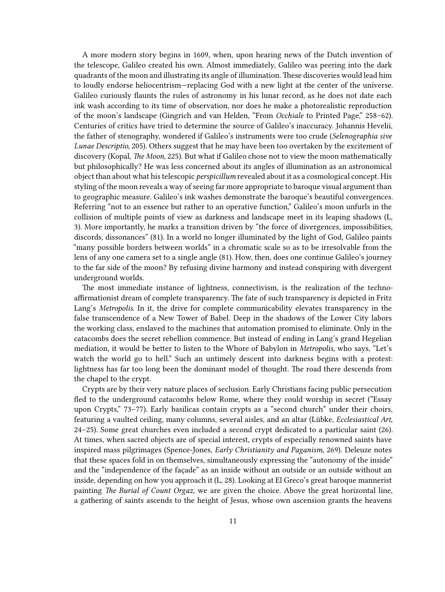A more modern story begins in 1609, when, upon hearing news of the Dutch invention of the telescope, Galileo created his own. Almost immediately, Galileo was peering into the dark quadrants of the moon and illustrating its angle of illumination. These discoveries would lead him to loudly endorse heliocentrism—replacing God with a new light at the center of the universe. Galileo curiously flaunts the rules of astronomy in his lunar record, as he does not date each ink wash according to its time of observation, nor does he make a photorealistic reproduction of the moon's landscape (Gingrich and van Helden, "From *Occhiale* to Printed Page," 258–62). Centuries of critics have tried to determine the source of Galileo's inaccuracy. Johannis Hevelii, the father of stenography, wondered if Galileo's instruments were too crude (*Selenographia sive Lunae Descriptio,* 205). Others suggest that he may have been too overtaken by the excitement of discovery (Kopal, *The Moon,* 225). But what if Galileo chose not to view the moon mathematically but philosophically? He was less concerned about its angles of illumination as an astronomical object than about what his telescopic *perspicillum* revealed about it as a cosmological concept. His styling of the moon reveals a way of seeing far more appropriate to baroque visual argument than to geographic measure. Galileo's ink washes demonstrate the baroque's beautiful convergences. Referring "not to an essence but rather to an operative function," Galileo's moon unfurls in the collision of multiple points of view as darkness and landscape meet in its leaping shadows (L, 3). More importantly, he marks a transition driven by "the force of divergences, impossibilities, discords, dissonances" (81). In a world no longer illuminated by the light of God, Galileo paints "many possible borders between worlds" in a chromatic scale so as to be irresolvable from the lens of any one camera set to a single angle (81). How, then, does one continue Galileo's journey to the far side of the moon? By refusing divine harmony and instead conspiring with divergent underground worlds.

The most immediate instance of lightness, connectivism, is the realization of the technoaffirmationist dream of complete transparency. The fate of such transparency is depicted in Fritz Lang's *Metropolis*. In it, the drive for complete communicability elevates transparency in the false transcendence of a New Tower of Babel. Deep in the shadows of the Lower City labors the working class, enslaved to the machines that automation promised to eliminate. Only in the catacombs does the secret rebellion commence. But instead of ending in Lang's grand Hegelian mediation, it would be better to listen to the Whore of Babylon in *Metropolis,* who says, "Let's watch the world go to hell." Such an untimely descent into darkness begins with a protest: lightness has far too long been the dominant model of thought. The road there descends from the chapel to the crypt.

Crypts are by their very nature places of seclusion. Early Christians facing public persecution fled to the underground catacombs below Rome, where they could worship in secret ("Essay upon Crypts," 73–77). Early basilicas contain crypts as a "second church" under their choirs, featuring a vaulted ceiling, many columns, several aisles, and an altar (Lübke, *Ecclesiastical Art,* 24–25). Some great churches even included a second crypt dedicated to a particular saint (26). At times, when sacred objects are of special interest, crypts of especially renowned saints have inspired mass pilgrimages (Spence-Jones, *Early Christianity and Paganism,* 269). Deleuze notes that these spaces fold in on themselves, simultaneously expressing the "autonomy of the inside" and the "independence of the façade" as an inside without an outside or an outside without an inside, depending on how you approach it (L, 28). Looking at El Greco's great baroque mannerist painting *The Burial of Count Orgaz,* we are given the choice. Above the great horizontal line, a gathering of saints ascends to the height of Jesus, whose own ascension grants the heavens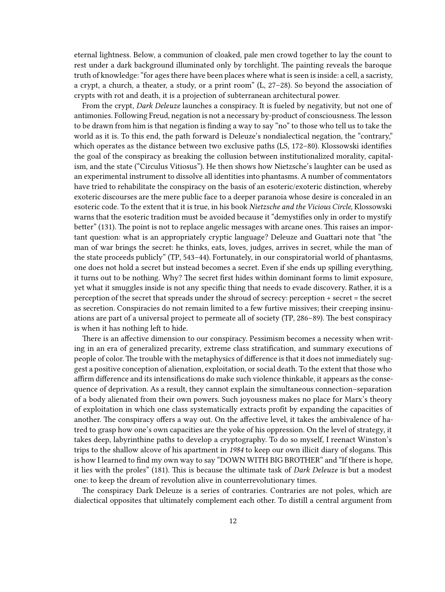eternal lightness. Below, a communion of cloaked, pale men crowd together to lay the count to rest under a dark background illuminated only by torchlight. The painting reveals the baroque truth of knowledge: "for ages there have been places where what is seen is inside: a cell, a sacristy, a crypt, a church, a theater, a study, or a print room" (L, 27–28). So beyond the association of crypts with rot and death, it is a projection of subterranean architectural power.

From the crypt, *Dark Deleuze* launches a conspiracy. It is fueled by negativity, but not one of antimonies. Following Freud, negation is not a necessary by-product of consciousness. The lesson to be drawn from him is that negation is finding a way to say "no" to those who tell us to take the world as it is. To this end, the path forward is Deleuze's nondialectical negation, the "contrary," which operates as the distance between two exclusive paths (LS, 172–80). Klossowski identifies the goal of the conspiracy as breaking the collusion between institutionalized morality, capitalism, and the state ("Circulus Vitiosus"). He then shows how Nietzsche's laughter can be used as an experimental instrument to dissolve all identities into phantasms. A number of commentators have tried to rehabilitate the conspiracy on the basis of an esoteric/exoteric distinction, whereby exoteric discourses are the mere public face to a deeper paranoia whose desire is concealed in an esoteric code. To the extent that it is true, in his book *Nietzsche and the Vicious Circle,* Klossowski warns that the esoteric tradition must be avoided because it "demystifies only in order to mystify better" (131). The point is not to replace angelic messages with arcane ones. This raises an important question: what is an appropriately cryptic language? Deleuze and Guattari note that "the man of war brings the secret: he thinks, eats, loves, judges, arrives in secret, while the man of the state proceeds publicly" (TP, 543–44). Fortunately, in our conspiratorial world of phantasms, one does not hold a secret but instead becomes a secret. Even if she ends up spilling everything, it turns out to be nothing. Why? The secret first hides within dominant forms to limit exposure, yet what it smuggles inside is not any specific thing that needs to evade discovery. Rather, it is a perception of the secret that spreads under the shroud of secrecy: perception + secret = the secret as secretion. Conspiracies do not remain limited to a few furtive missives; their creeping insinuations are part of a universal project to permeate all of society (TP, 286–89). The best conspiracy is when it has nothing left to hide.

There is an affective dimension to our conspiracy. Pessimism becomes a necessity when writing in an era of generalized precarity, extreme class stratification, and summary executions of people of color. The trouble with the metaphysics of difference is that it does not immediately suggest a positive conception of alienation, exploitation, or social death. To the extent that those who affirm difference and its intensifications do make such violence thinkable, it appears as the consequence of deprivation. As a result, they cannot explain the simultaneous connection–separation of a body alienated from their own powers. Such joyousness makes no place for Marx's theory of exploitation in which one class systematically extracts profit by expanding the capacities of another. The conspiracy offers a way out. On the affective level, it takes the ambivalence of hatred to grasp how one's own capacities are the yoke of his oppression. On the level of strategy, it takes deep, labyrinthine paths to develop a cryptography. To do so myself, I reenact Winston's trips to the shallow alcove of his apartment in *1984* to keep our own illicit diary of slogans. This is how I learned to find my own way to say "DOWN WITH BIG BROTHER" and "If there is hope, it lies with the proles" (181). This is because the ultimate task of *Dark Deleuze* is but a modest one: to keep the dream of revolution alive in counterrevolutionary times.

The conspiracy Dark Deleuze is a series of contraries. Contraries are not poles, which are dialectical opposites that ultimately complement each other. To distill a central argument from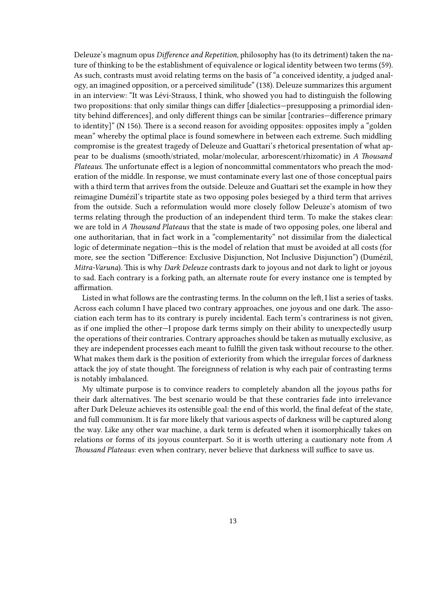Deleuze's magnum opus *Difference and Repetition,* philosophy has (to its detriment) taken the nature of thinking to be the establishment of equivalence or logical identity between two terms (59). As such, contrasts must avoid relating terms on the basis of "a conceived identity, a judged analogy, an imagined opposition, or a perceived similitude" (138). Deleuze summarizes this argument in an interview: "It was Lévi-Strauss, I think, who showed you had to distinguish the following two propositions: that only similar things can differ [dialectics—presupposing a primordial identity behind differences], and only different things can be similar [contraries—difference primary to identity]" (N 156). There is a second reason for avoiding opposites: opposites imply a "golden mean" whereby the optimal place is found somewhere in between each extreme. Such middling compromise is the greatest tragedy of Deleuze and Guattari's rhetorical presentation of what appear to be dualisms (smooth/striated, molar/molecular, arborescent/rhizomatic) in *A Thousand Plateaus*. The unfortunate effect is a legion of noncommittal commentators who preach the moderation of the middle. In response, we must contaminate every last one of those conceptual pairs with a third term that arrives from the outside. Deleuze and Guattari set the example in how they reimagine Dumézil's tripartite state as two opposing poles besieged by a third term that arrives from the outside. Such a reformulation would more closely follow Deleuze's atomism of two terms relating through the production of an independent third term. To make the stakes clear: we are told in *A Thousand Plateaus* that the state is made of two opposing poles, one liberal and one authoritarian, that in fact work in a "complementarity" not dissimilar from the dialectical logic of determinate negation—this is the model of relation that must be avoided at all costs (for more, see the section "Difference: Exclusive Disjunction, Not Inclusive Disjunction") (Dumézil, *Mitra-Varuna*). This is why *Dark Deleuze* contrasts dark to joyous and not dark to light or joyous to sad. Each contrary is a forking path, an alternate route for every instance one is tempted by affirmation.

Listed in what follows are the contrasting terms. In the column on the left, I list a series of tasks. Across each column I have placed two contrary approaches, one joyous and one dark. The association each term has to its contrary is purely incidental. Each term's contrariness is not given, as if one implied the other—I propose dark terms simply on their ability to unexpectedly usurp the operations of their contraries. Contrary approaches should be taken as mutually exclusive, as they are independent processes each meant to fulfill the given task without recourse to the other. What makes them dark is the position of exteriority from which the irregular forces of darkness attack the joy of state thought. The foreignness of relation is why each pair of contrasting terms is notably imbalanced.

My ultimate purpose is to convince readers to completely abandon all the joyous paths for their dark alternatives. The best scenario would be that these contraries fade into irrelevance after Dark Deleuze achieves its ostensible goal: the end of this world, the final defeat of the state, and full communism. It is far more likely that various aspects of darkness will be captured along the way. Like any other war machine, a dark term is defeated when it isomorphically takes on relations or forms of its joyous counterpart. So it is worth uttering a cautionary note from *A Thousand Plateaus*: even when contrary, never believe that darkness will suffice to save us.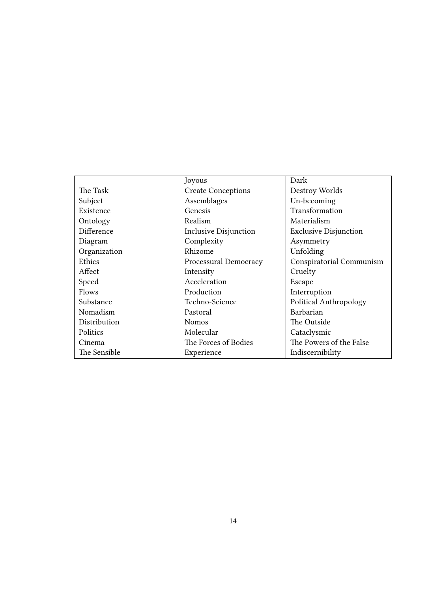| Joyous                    | Dark                         |
|---------------------------|------------------------------|
| <b>Create Conceptions</b> | Destroy Worlds               |
| Assemblages               | Un-becoming                  |
| Genesis                   | Transformation               |
| Realism                   | Materialism                  |
| Inclusive Disjunction     | <b>Exclusive Disjunction</b> |
| Complexity                | Asymmetry                    |
| Rhizome                   | Unfolding                    |
| Processural Democracy     | Conspiratorial Communism     |
| Intensity                 | Cruelty                      |
| Acceleration              | Escape                       |
| Production                | Interruption                 |
| Techno-Science            | Political Anthropology       |
| Pastoral                  | Barbarian                    |
| <b>Nomos</b>              | The Outside                  |
| Molecular                 | Cataclysmic                  |
| The Forces of Bodies      | The Powers of the False      |
| Experience                | Indiscernibility             |
|                           |                              |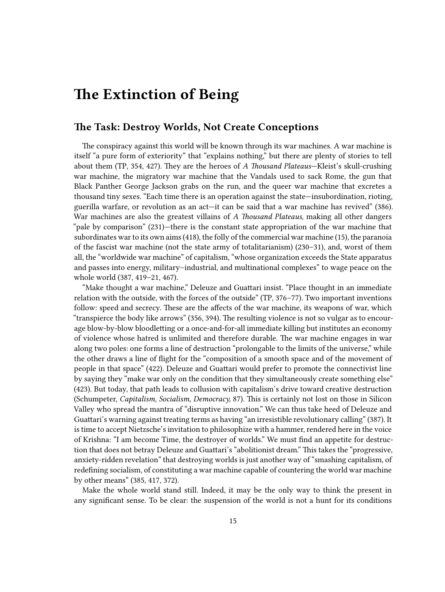## <span id="page-14-0"></span>**The Extinction of Being**

#### <span id="page-14-1"></span>**The Task: Destroy Worlds, Not Create Conceptions**

The conspiracy against this world will be known through its war machines. A war machine is itself "a pure form of exteriority" that "explains nothing," but there are plenty of stories to tell about them (TP, 354, 427). They are the heroes of *A Thousand Plateaus*—Kleist's skull-crushing war machine, the migratory war machine that the Vandals used to sack Rome, the gun that Black Panther George Jackson grabs on the run, and the queer war machine that excretes a thousand tiny sexes. "Each time there is an operation against the state—insubordination, rioting, guerilla warfare, or revolution as an act—it can be said that a war machine has revived" (386). War machines are also the greatest villains of *A Thousand Plateaus,* making all other dangers "pale by comparison" (231)—there is the constant state appropriation of the war machine that subordinates war to its own aims (418), the folly of the commercial war machine (15), the paranoia of the fascist war machine (not the state army of totalitarianism) (230–31), and, worst of them all, the "worldwide war machine" of capitalism, "whose organization exceeds the State apparatus and passes into energy, military–industrial, and multinational complexes" to wage peace on the whole world (387, 419–21, 467).

"Make thought a war machine," Deleuze and Guattari insist. "Place thought in an immediate relation with the outside, with the forces of the outside" (TP, 376–77). Two important inventions follow: speed and secrecy. These are the affects of the war machine, its weapons of war, which "transpierce the body like arrows" (356, 394). The resulting violence is not so vulgar as to encourage blow-by-blow bloodletting or a once-and-for-all immediate killing but institutes an economy of violence whose hatred is unlimited and therefore durable. The war machine engages in war along two poles: one forms a line of destruction "prolongable to the limits of the universe," while the other draws a line of flight for the "composition of a smooth space and of the movement of people in that space" (422). Deleuze and Guattari would prefer to promote the connectivist line by saying they "make war only on the condition that they simultaneously create something else" (423). But today, that path leads to collusion with capitalism's drive toward creative destruction (Schumpeter, *Capitalism, Socialism, Democracy,* 87). This is certainly not lost on those in Silicon Valley who spread the mantra of "disruptive innovation." We can thus take heed of Deleuze and Guattari's warning against treating terms as having "an irresistible revolutionary calling" (387). It is time to accept Nietzsche's invitation to philosophize with a hammer, rendered here in the voice of Krishna: "I am become Time, the destroyer of worlds." We must find an appetite for destruction that does not betray Deleuze and Guattari's "abolitionist dream." This takes the "progressive, anxiety-ridden revelation" that destroying worlds is just another way of "smashing capitalism, of redefining socialism, of constituting a war machine capable of countering the world war machine by other means" (385, 417, 372).

Make the whole world stand still. Indeed, it may be the only way to think the present in any significant sense. To be clear: the suspension of the world is not a hunt for its conditions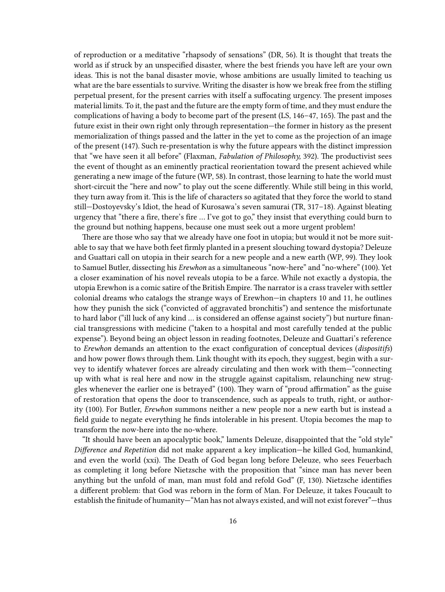of reproduction or a meditative "rhapsody of sensations" (DR, 56). It is thought that treats the world as if struck by an unspecified disaster, where the best friends you have left are your own ideas. This is not the banal disaster movie, whose ambitions are usually limited to teaching us what are the bare essentials to survive. Writing the disaster is how we break free from the stifling perpetual present, for the present carries with itself a suffocating urgency. The present imposes material limits. To it, the past and the future are the empty form of time, and they must endure the complications of having a body to become part of the present (LS, 146–47, 165). The past and the future exist in their own right only through representation—the former in history as the present memorialization of things passed and the latter in the yet to come as the projection of an image of the present (147). Such re-presentation is why the future appears with the distinct impression that "we have seen it all before" (Flaxman, *Fabulation of Philosophy,* 392). The productivist sees the event of thought as an eminently practical reorientation toward the present achieved while generating a new image of the future (WP, 58). In contrast, those learning to hate the world must short-circuit the "here and now" to play out the scene differently. While still being in this world, they turn away from it. This is the life of characters so agitated that they force the world to stand still—Dostoyevsky's Idiot, the head of Kurosawa's seven samurai (TR, 317–18). Against bleating urgency that "there a fire, there's fire … I've got to go," they insist that everything could burn to the ground but nothing happens, because one must seek out a more urgent problem!

There are those who say that we already have one foot in utopia; but would it not be more suitable to say that we have both feet firmly planted in a present slouching toward dystopia? Deleuze and Guattari call on utopia in their search for a new people and a new earth (WP, 99). They look to Samuel Butler, dissecting his *Erewhon* as a simultaneous "now-here" and "no-where" (100). Yet a closer examination of his novel reveals utopia to be a farce. While not exactly a dystopia, the utopia Erewhon is a comic satire of the British Empire. The narrator is a crass traveler with settler colonial dreams who catalogs the strange ways of Erewhon—in chapters 10 and 11, he outlines how they punish the sick ("convicted of aggravated bronchitis") and sentence the misfortunate to hard labor ("ill luck of any kind … is considered an offense against society") but nurture financial transgressions with medicine ("taken to a hospital and most carefully tended at the public expense"). Beyond being an object lesson in reading footnotes, Deleuze and Guattari's reference to *Erewhon* demands an attention to the exact configuration of conceptual devices (*dispositifs*) and how power flows through them. Link thought with its epoch, they suggest, begin with a survey to identify whatever forces are already circulating and then work with them—"connecting up with what is real here and now in the struggle against capitalism, relaunching new struggles whenever the earlier one is betrayed" (100). They warn of "proud affirmation" as the guise of restoration that opens the door to transcendence, such as appeals to truth, right, or authority (100). For Butler, *Erewhon* summons neither a new people nor a new earth but is instead a field guide to negate everything he finds intolerable in his present. Utopia becomes the map to transform the now-here into the no-where.

"It should have been an apocalyptic book," laments Deleuze, disappointed that the "old style" *Difference and Repetition* did not make apparent a key implication—he killed God, humankind, and even the world (xxi). The Death of God began long before Deleuze, who sees Feuerbach as completing it long before Nietzsche with the proposition that "since man has never been anything but the unfold of man, man must fold and refold God" (F, 130). Nietzsche identifies a different problem: that God was reborn in the form of Man. For Deleuze, it takes Foucault to establish the finitude of humanity—"Man has not always existed, and will not exist forever"—thus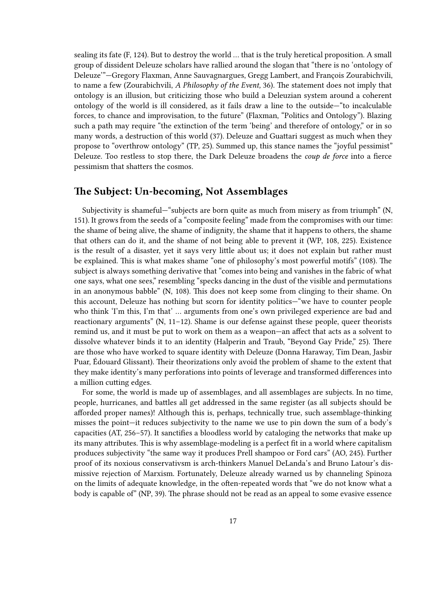sealing its fate (F, 124). But to destroy the world … that is the truly heretical proposition. A small group of dissident Deleuze scholars have rallied around the slogan that "there is no 'ontology of Deleuze'"—Gregory Flaxman, Anne Sauvagnargues, Gregg Lambert, and François Zourabichvili, to name a few (Zourabichvili, *A Philosophy of the Event,* 36). The statement does not imply that ontology is an illusion, but criticizing those who build a Deleuzian system around a coherent ontology of the world is ill considered, as it fails draw a line to the outside—"to incalculable forces, to chance and improvisation, to the future" (Flaxman, "Politics and Ontology"). Blazing such a path may require "the extinction of the term 'being' and therefore of ontology," or in so many words, a destruction of this world (37). Deleuze and Guattari suggest as much when they propose to "overthrow ontology" (TP, 25). Summed up, this stance names the "joyful pessimist" Deleuze. Too restless to stop there, the Dark Deleuze broadens the *coup de force* into a fierce pessimism that shatters the cosmos.

### <span id="page-16-0"></span>**The Subject: Un-becoming, Not Assemblages**

Subjectivity is shameful—"subjects are born quite as much from misery as from triumph" (N, 151). It grows from the seeds of a "composite feeling" made from the compromises with our time: the shame of being alive, the shame of indignity, the shame that it happens to others, the shame that others can do it, and the shame of not being able to prevent it (WP, 108, 225). Existence is the result of a disaster, yet it says very little about us; it does not explain but rather must be explained. This is what makes shame "one of philosophy's most powerful motifs" (108). The subject is always something derivative that "comes into being and vanishes in the fabric of what one says, what one sees," resembling "specks dancing in the dust of the visible and permutations in an anonymous babble" (N, 108). This does not keep some from clinging to their shame. On this account, Deleuze has nothing but scorn for identity politics—"we have to counter people who think 'I'm this, I'm that' … arguments from one's own privileged experience are bad and reactionary arguments" (N, 11–12). Shame is our defense against these people, queer theorists remind us, and it must be put to work on them as a weapon—an affect that acts as a solvent to dissolve whatever binds it to an identity (Halperin and Traub, "Beyond Gay Pride," 25). There are those who have worked to square identity with Deleuze (Donna Haraway, Tim Dean, Jasbir Puar, Édouard Glissant). Their theorizations only avoid the problem of shame to the extent that they make identity's many perforations into points of leverage and transformed differences into a million cutting edges.

For some, the world is made up of assemblages, and all assemblages are subjects. In no time, people, hurricanes, and battles all get addressed in the same register (as all subjects should be afforded proper names)! Although this is, perhaps, technically true, such assemblage-thinking misses the point—it reduces subjectivity to the name we use to pin down the sum of a body's capacities (AT, 256–57). It sanctifies a bloodless world by cataloging the networks that make up its many attributes. This is why assemblage-modeling is a perfect fit in a world where capitalism produces subjectivity "the same way it produces Prell shampoo or Ford cars" (AO, 245). Further proof of its noxious conservativsm is arch-thinkers Manuel DeLanda's and Bruno Latour's dismissive rejection of Marxism. Fortunately, Deleuze already warned us by channeling Spinoza on the limits of adequate knowledge, in the often-repeated words that "we do not know what a body is capable of" (NP, 39). The phrase should not be read as an appeal to some evasive essence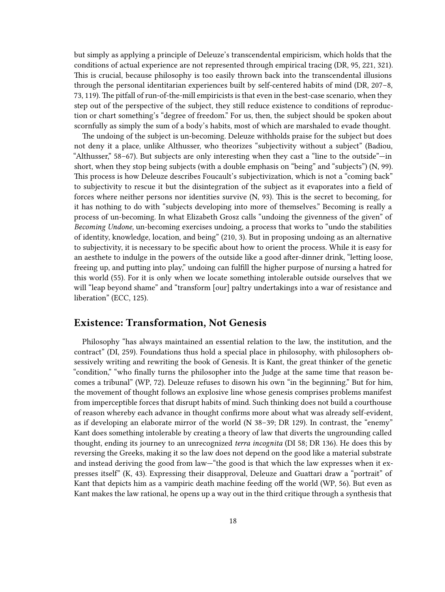but simply as applying a principle of Deleuze's transcendental empiricism, which holds that the conditions of actual experience are not represented through empirical tracing (DR, 95, 221, 321). This is crucial, because philosophy is too easily thrown back into the transcendental illusions through the personal identitarian experiences built by self-centered habits of mind (DR, 207–8, 73, 119). The pitfall of run-of-the-mill empiricists is that even in the best-case scenario, when they step out of the perspective of the subject, they still reduce existence to conditions of reproduction or chart something's "degree of freedom." For us, then, the subject should be spoken about scornfully as simply the sum of a body's habits, most of which are marshaled to evade thought.

The undoing of the subject is un-becoming. Deleuze withholds praise for the subject but does not deny it a place, unlike Althusser, who theorizes "subjectivity without a subject" (Badiou, "Althusser," 58–67). But subjects are only interesting when they cast a "line to the outside"—in short, when they stop being subjects (with a double emphasis on "being" and "subjects") (N, 99). This process is how Deleuze describes Foucault's subjectivization, which is not a "coming back" to subjectivity to rescue it but the disintegration of the subject as it evaporates into a field of forces where neither persons nor identities survive (N, 93). This is the secret to becoming, for it has nothing to do with "subjects developing into more of themselves." Becoming is really a process of un-becoming. In what Elizabeth Grosz calls "undoing the givenness of the given" of *Becoming Undone,* un-becoming exercises undoing, a process that works to "undo the stabilities of identity, knowledge, location, and being" (210, 3). But in proposing undoing as an alternative to subjectivity, it is necessary to be specific about how to orient the process. While it is easy for an aesthete to indulge in the powers of the outside like a good after-dinner drink, "letting loose, freeing up, and putting into play," undoing can fulfill the higher purpose of nursing a hatred for this world (55). For it is only when we locate something intolerable outside ourselves that we will "leap beyond shame" and "transform [our] paltry undertakings into a war of resistance and liberation" (ECC, 125).

#### <span id="page-17-0"></span>**Existence: Transformation, Not Genesis**

Philosophy "has always maintained an essential relation to the law, the institution, and the contract" (DI, 259). Foundations thus hold a special place in philosophy, with philosophers obsessively writing and rewriting the book of Genesis. It is Kant, the great thinker of the genetic "condition," "who finally turns the philosopher into the Judge at the same time that reason becomes a tribunal" (WP, 72). Deleuze refuses to disown his own "in the beginning." But for him, the movement of thought follows an explosive line whose genesis comprises problems manifest from imperceptible forces that disrupt habits of mind. Such thinking does not build a courthouse of reason whereby each advance in thought confirms more about what was already self-evident, as if developing an elaborate mirror of the world (N 38–39; DR 129). In contrast, the "enemy" Kant does something intolerable by creating a theory of law that diverts the ungrounding called thought, ending its journey to an unrecognized *terra incognita* (DI 58; DR 136). He does this by reversing the Greeks, making it so the law does not depend on the good like a material substrate and instead deriving the good from law—"the good is that which the law expresses when it expresses itself" (K, 43). Expressing their disapproval, Deleuze and Guattari draw a "portrait" of Kant that depicts him as a vampiric death machine feeding off the world (WP, 56). But even as Kant makes the law rational, he opens up a way out in the third critique through a synthesis that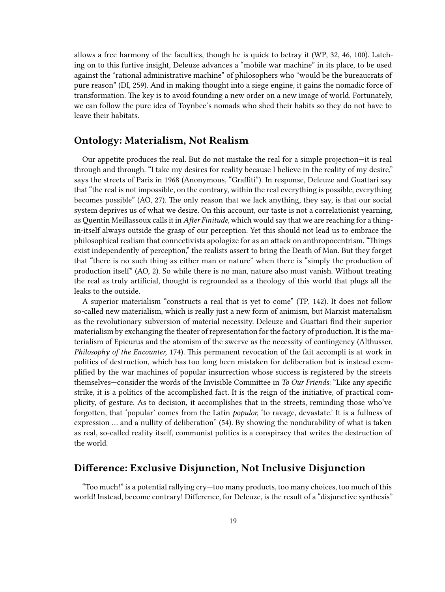allows a free harmony of the faculties, though he is quick to betray it (WP, 32, 46, 100). Latching on to this furtive insight, Deleuze advances a "mobile war machine" in its place, to be used against the "rational administrative machine" of philosophers who "would be the bureaucrats of pure reason" (DI, 259). And in making thought into a siege engine, it gains the nomadic force of transformation. The key is to avoid founding a new order on a new image of world. Fortunately, we can follow the pure idea of Toynbee's nomads who shed their habits so they do not have to leave their habitats.

### <span id="page-18-0"></span>**Ontology: Materialism, Not Realism**

Our appetite produces the real. But do not mistake the real for a simple projection—it is real through and through. "I take my desires for reality because I believe in the reality of my desire," says the streets of Paris in 1968 (Anonymous, "Graffiti"). In response, Deleuze and Guattari say that "the real is not impossible, on the contrary, within the real everything is possible, everything becomes possible" (AO, 27). The only reason that we lack anything, they say, is that our social system deprives us of what we desire. On this account, our taste is not a correlationist yearning, asQuentin Meillassoux calls it in *After Finitude,* which would say that we are reaching for a thingin-itself always outside the grasp of our perception. Yet this should not lead us to embrace the philosophical realism that connectivists apologize for as an attack on anthropocentrism. "Things exist independently of perception," the realists assert to bring the Death of Man. But they forget that "there is no such thing as either man or nature" when there is "simply the production of production itself" (AO, 2). So while there is no man, nature also must vanish. Without treating the real as truly artificial, thought is regrounded as a theology of this world that plugs all the leaks to the outside.

A superior materialism "constructs a real that is yet to come" (TP, 142). It does not follow so-called new materialism, which is really just a new form of animism, but Marxist materialism as the revolutionary subversion of material necessity. Deleuze and Guattari find their superior materialism by exchanging the theater of representation for the factory of production. It is the materialism of Epicurus and the atomism of the swerve as the necessity of contingency (Althusser, *Philosophy of the Encounter,* 174). This permanent revocation of the fait accompli is at work in politics of destruction, which has too long been mistaken for deliberation but is instead exemplified by the war machines of popular insurrection whose success is registered by the streets themselves—consider the words of the Invisible Committee in *To Our Friends*: "Like any specific strike, it is a politics of the accomplished fact. It is the reign of the initiative, of practical complicity, of gesture. As to decision, it accomplishes that in the streets, reminding those who've forgotten, that 'popular' comes from the Latin *populor,* 'to ravage, devastate.' It is a fullness of expression … and a nullity of deliberation" (54). By showing the nondurability of what is taken as real, so-called reality itself, communist politics is a conspiracy that writes the destruction of the world.

## <span id="page-18-1"></span>**Difference: Exclusive Disjunction, Not Inclusive Disjunction**

"Too much!" is a potential rallying cry—too many products, too many choices, too much of this world! Instead, become contrary! Difference, for Deleuze, is the result of a "disjunctive synthesis"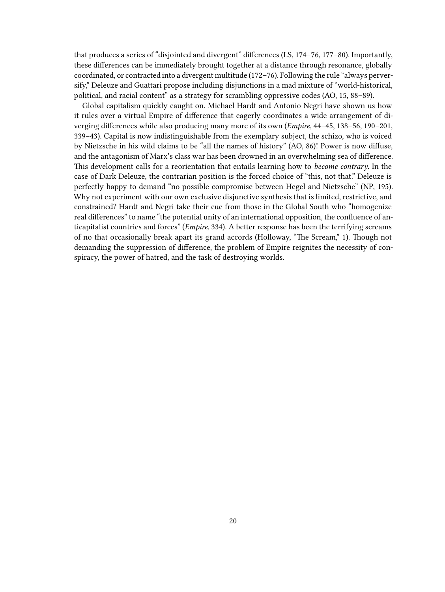that produces a series of "disjointed and divergent" differences (LS, 174–76, 177–80). Importantly, these differences can be immediately brought together at a distance through resonance, globally coordinated, or contracted into a divergent multitude (172–76). Following the rule "always perversify," Deleuze and Guattari propose including disjunctions in a mad mixture of "world-historical, political, and racial content" as a strategy for scrambling oppressive codes (AO, 15, 88–89).

Global capitalism quickly caught on. Michael Hardt and Antonio Negri have shown us how it rules over a virtual Empire of difference that eagerly coordinates a wide arrangement of diverging differences while also producing many more of its own (*Empire,* 44–45, 138–56, 190–201, 339–43). Capital is now indistinguishable from the exemplary subject, the schizo, who is voiced by Nietzsche in his wild claims to be "all the names of history" (AO, 86)! Power is now diffuse, and the antagonism of Marx's class war has been drowned in an overwhelming sea of difference. This development calls for a reorientation that entails learning how to *become contrary*. In the case of Dark Deleuze, the contrarian position is the forced choice of "this, not that." Deleuze is perfectly happy to demand "no possible compromise between Hegel and Nietzsche" (NP, 195). Why not experiment with our own exclusive disjunctive synthesis that is limited, restrictive, and constrained? Hardt and Negri take their cue from those in the Global South who "homogenize real differences" to name "the potential unity of an international opposition, the confluence of anticapitalist countries and forces" (*Empire,* 334). A better response has been the terrifying screams of no that occasionally break apart its grand accords (Holloway, "The Scream," 1). Though not demanding the suppression of difference, the problem of Empire reignites the necessity of conspiracy, the power of hatred, and the task of destroying worlds.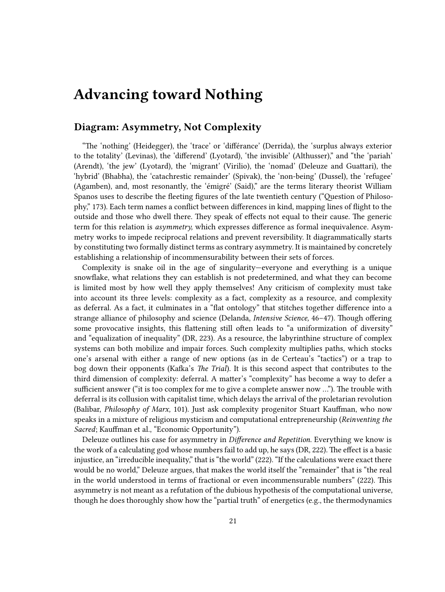## <span id="page-20-0"></span>**Advancing toward Nothing**

## <span id="page-20-1"></span>**Diagram: Asymmetry, Not Complexity**

"The 'nothing' (Heidegger), the 'trace' or 'différance' (Derrida), the 'surplus always exterior to the totality' (Levinas), the 'differend' (Lyotard), 'the invisible' (Althusser)," and "the 'pariah' (Arendt), 'the jew' (Lyotard), the 'migrant' (Virilio), the 'nomad' (Deleuze and Guattari), the 'hybrid' (Bhabha), the 'catachrestic remainder' (Spivak), the 'non-being' (Dussel), the 'refugee' (Agamben), and, most resonantly, the 'émigré' (Said)," are the terms literary theorist William Spanos uses to describe the fleeting figures of the late twentieth century ("Question of Philosophy," 173). Each term names a conflict between differences in kind, mapping lines of flight to the outside and those who dwell there. They speak of effects not equal to their cause. The generic term for this relation is *asymmetry,* which expresses difference as formal inequivalence. Asymmetry works to impede reciprocal relations and prevent reversibility. It diagrammatically starts by constituting two formally distinct terms as contrary asymmetry. It is maintained by concretely establishing a relationship of incommensurability between their sets of forces.

Complexity is snake oil in the age of singularity—everyone and everything is a unique snowflake, what relations they can establish is not predetermined, and what they can become is limited most by how well they apply themselves! Any criticism of complexity must take into account its three levels: complexity as a fact, complexity as a resource, and complexity as deferral. As a fact, it culminates in a "flat ontology" that stitches together difference into a strange alliance of philosophy and science (Delanda, *Intensive Science,* 46–47). Though offering some provocative insights, this flattening still often leads to "a uniformization of diversity" and "equalization of inequality" (DR, 223). As a resource, the labyrinthine structure of complex systems can both mobilize and impair forces. Such complexity multiplies paths, which stocks one's arsenal with either a range of new options (as in de Certeau's "tactics") or a trap to bog down their opponents (Kafka's *The Trial*). It is this second aspect that contributes to the third dimension of complexity: deferral. A matter's "complexity" has become a way to defer a sufficient answer ("it is too complex for me to give a complete answer now …"). The trouble with deferral is its collusion with capitalist time, which delays the arrival of the proletarian revolution (Balibar, *Philosophy of Marx,* 101). Just ask complexity progenitor Stuart Kauffman, who now speaks in a mixture of religious mysticism and computational entrepreneurship (*Reinventing the Sacred*; Kauffman et al., "Economic Opportunity").

Deleuze outlines his case for asymmetry in *Difference and Repetition*. Everything we know is the work of a calculating god whose numbers fail to add up, he says (DR, 222). The effect is a basic injustice, an "irreducible inequality," that is "the world" (222). "If the calculations were exact there would be no world," Deleuze argues, that makes the world itself the "remainder" that is "the real in the world understood in terms of fractional or even incommensurable numbers" (222). This asymmetry is not meant as a refutation of the dubious hypothesis of the computational universe, though he does thoroughly show how the "partial truth" of energetics (e.g., the thermodynamics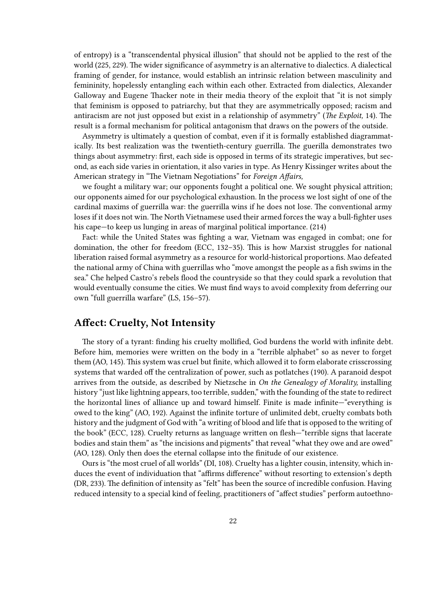of entropy) is a "transcendental physical illusion" that should not be applied to the rest of the world (225, 229). The wider significance of asymmetry is an alternative to dialectics. A dialectical framing of gender, for instance, would establish an intrinsic relation between masculinity and femininity, hopelessly entangling each within each other. Extracted from dialectics, Alexander Galloway and Eugene Thacker note in their media theory of the exploit that "it is not simply that feminism is opposed to patriarchy, but that they are asymmetrically opposed; racism and antiracism are not just opposed but exist in a relationship of asymmetry" (*The Exploit,* 14). The result is a formal mechanism for political antagonism that draws on the powers of the outside.

Asymmetry is ultimately a question of combat, even if it is formally established diagrammatically. Its best realization was the twentieth-century guerrilla. The guerilla demonstrates two things about asymmetry: first, each side is opposed in terms of its strategic imperatives, but second, as each side varies in orientation, it also varies in type. As Henry Kissinger writes about the American strategy in "The Vietnam Negotiations" for *Foreign Affairs,*

we fought a military war; our opponents fought a political one. We sought physical attrition; our opponents aimed for our psychological exhaustion. In the process we lost sight of one of the cardinal maxims of guerrilla war: the guerrilla wins if he does not lose. The conventional army loses if it does not win. The North Vietnamese used their armed forces the way a bull-fighter uses his cape—to keep us lunging in areas of marginal political importance. (214)

Fact: while the United States was fighting a war, Vietnam was engaged in combat; one for domination, the other for freedom (ECC, 132–35). This is how Marxist struggles for national liberation raised formal asymmetry as a resource for world-historical proportions. Mao defeated the national army of China with guerrillas who "move amongst the people as a fish swims in the sea." Che helped Castro's rebels flood the countryside so that they could spark a revolution that would eventually consume the cities. We must find ways to avoid complexity from deferring our own "full guerrilla warfare" (LS, 156–57).

### <span id="page-21-0"></span>**Affect: Cruelty, Not Intensity**

The story of a tyrant: finding his cruelty mollified, God burdens the world with infinite debt. Before him, memories were written on the body in a "terrible alphabet" so as never to forget them (AO, 145). This system was cruel but finite, which allowed it to form elaborate crisscrossing systems that warded off the centralization of power, such as potlatches (190). A paranoid despot arrives from the outside, as described by Nietzsche in *On the Genealogy of Morality,* installing history "just like lightning appears, too terrible, sudden," with the founding of the state to redirect the horizontal lines of alliance up and toward himself. Finite is made infinite—"everything is owed to the king" (AO, 192). Against the infinite torture of unlimited debt, cruelty combats both history and the judgment of God with "a writing of blood and life that is opposed to the writing of the book" (ECC, 128). Cruelty returns as language written on flesh—"terrible signs that lacerate bodies and stain them" as "the incisions and pigments" that reveal "what they owe and are owed" (AO, 128). Only then does the eternal collapse into the finitude of our existence.

Ours is "the most cruel of all worlds" (DI, 108). Cruelty has a lighter cousin, intensity, which induces the event of individuation that "affirms difference" without resorting to extension's depth (DR, 233). The definition of intensity as "felt" has been the source of incredible confusion. Having reduced intensity to a special kind of feeling, practitioners of "affect studies" perform autoethno-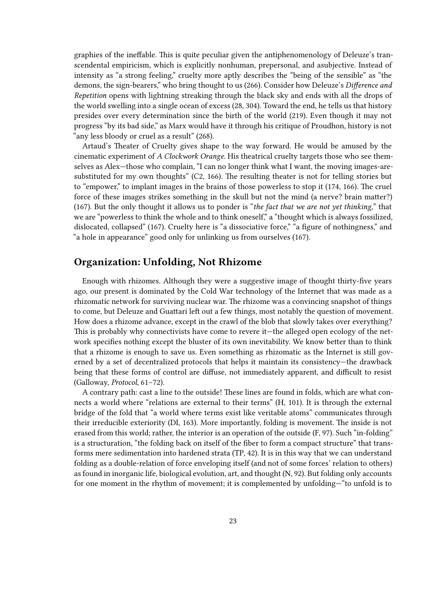graphies of the ineffable. This is quite peculiar given the antiphenomenology of Deleuze's transcendental empiricism, which is explicitly nonhuman, prepersonal, and asubjective. Instead of intensity as "a strong feeling," cruelty more aptly describes the "being of the sensible" as "the demons, the sign-bearers," who bring thought to us (266). Consider how Deleuze's *Difference and Repetition* opens with lightning streaking through the black sky and ends with all the drops of the world swelling into a single ocean of excess (28, 304). Toward the end, he tells us that history presides over every determination since the birth of the world (219). Even though it may not progress "by its bad side," as Marx would have it through his critique of Proudhon, history is not "any less bloody or cruel as a result" (268).

Artaud's Theater of Cruelty gives shape to the way forward. He would be amused by the cinematic experiment of *A Clockwork Orange*. His theatrical cruelty targets those who see themselves as Alex—those who complain, "I can no longer think what I want, the moving images-aresubstituted for my own thoughts" (C2, 166). The resulting theater is not for telling stories but to "empower," to implant images in the brains of those powerless to stop it (174, 166). The cruel force of these images strikes something in the skull but not the mind (a nerve? brain matter?) (167). But the only thought it allows us to ponder is "*the fact that we are not yet thinking,*" that we are "powerless to think the whole and to think oneself," a "thought which is always fossilized, dislocated, collapsed" (167). Cruelty here is "a dissociative force," "a figure of nothingness," and "a hole in appearance" good only for unlinking us from ourselves (167).

## <span id="page-22-0"></span>**Organization: Unfolding, Not Rhizome**

Enough with rhizomes. Although they were a suggestive image of thought thirty-five years ago, our present is dominated by the Cold War technology of the Internet that was made as a rhizomatic network for surviving nuclear war. The rhizome was a convincing snapshot of things to come, but Deleuze and Guattari left out a few things, most notably the question of movement. How does a rhizome advance, except in the crawl of the blob that slowly takes over everything? This is probably why connectivists have come to revere it—the alleged open ecology of the network specifies nothing except the bluster of its own inevitability. We know better than to think that a rhizome is enough to save us. Even something as rhizomatic as the Internet is still governed by a set of decentralized protocols that helps it maintain its consistency—the drawback being that these forms of control are diffuse, not immediately apparent, and difficult to resist (Galloway, *Protocol,* 61–72).

A contrary path: cast a line to the outside! These lines are found in folds, which are what connects a world where "relations are external to their terms" (H, 101). It is through the external bridge of the fold that "a world where terms exist like veritable atoms" communicates through their irreducible exteriority (DI, 163). More importantly, folding is movement. The inside is not erased from this world; rather, the interior is an operation of the outside (F, 97). Such "in-folding" is a structuration, "the folding back on itself of the fiber to form a compact structure" that transforms mere sedimentation into hardened strata (TP, 42). It is in this way that we can understand folding as a double-relation of force enveloping itself (and not of some forces' relation to others) as found in inorganic life, biological evolution, art, and thought (N, 92). But folding only accounts for one moment in the rhythm of movement; it is complemented by unfolding—"to unfold is to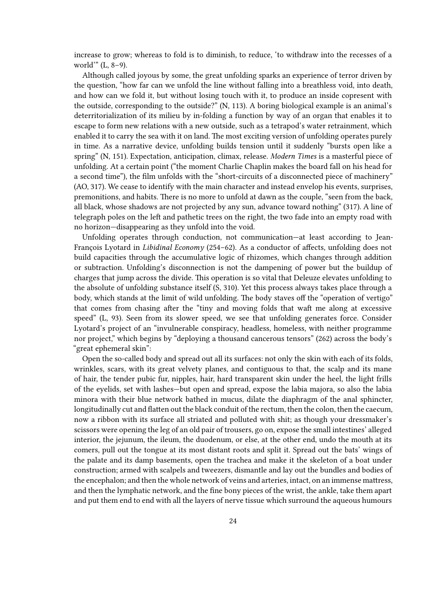increase to grow; whereas to fold is to diminish, to reduce, 'to withdraw into the recesses of a world'" (L, 8–9).

Although called joyous by some, the great unfolding sparks an experience of terror driven by the question, "how far can we unfold the line without falling into a breathless void, into death, and how can we fold it, but without losing touch with it, to produce an inside copresent with the outside, corresponding to the outside?" (N, 113). A boring biological example is an animal's deterritorialization of its milieu by in-folding a function by way of an organ that enables it to escape to form new relations with a new outside, such as a tetrapod's water retrainment, which enabled it to carry the sea with it on land. The most exciting version of unfolding operates purely in time. As a narrative device, unfolding builds tension until it suddenly "bursts open like a spring" (N, 151). Expectation, anticipation, climax, release. *Modern Times* is a masterful piece of unfolding. At a certain point ("the moment Charlie Chaplin makes the board fall on his head for a second time"), the film unfolds with the "short-circuits of a disconnected piece of machinery" (AO, 317). We cease to identify with the main character and instead envelop his events, surprises, premonitions, and habits. There is no more to unfold at dawn as the couple, "seen from the back, all black, whose shadows are not projected by any sun, advance toward nothing" (317). A line of telegraph poles on the left and pathetic trees on the right, the two fade into an empty road with no horizon—disappearing as they unfold into the void.

Unfolding operates through conduction, not communication—at least according to Jean-François Lyotard in *Libidinal Economy* (254–62). As a conductor of affects, unfolding does not build capacities through the accumulative logic of rhizomes, which changes through addition or subtraction. Unfolding's disconnection is not the dampening of power but the buildup of charges that jump across the divide. This operation is so vital that Deleuze elevates unfolding to the absolute of unfolding substance itself (S, 310). Yet this process always takes place through a body, which stands at the limit of wild unfolding. The body staves off the "operation of vertigo" that comes from chasing after the "tiny and moving folds that waft me along at excessive speed" (L, 93). Seen from its slower speed, we see that unfolding generates force. Consider Lyotard's project of an "invulnerable conspiracy, headless, homeless, with neither programme nor project," which begins by "deploying a thousand cancerous tensors" (262) across the body's "great ephemeral skin":

Open the so-called body and spread out all its surfaces: not only the skin with each of its folds, wrinkles, scars, with its great velvety planes, and contiguous to that, the scalp and its mane of hair, the tender pubic fur, nipples, hair, hard transparent skin under the heel, the light frills of the eyelids, set with lashes—but open and spread, expose the labia majora, so also the labia minora with their blue network bathed in mucus, dilate the diaphragm of the anal sphincter, longitudinally cut and flatten out the black conduit of the rectum, then the colon, then the caecum, now a ribbon with its surface all striated and polluted with shit; as though your dressmaker's scissors were opening the leg of an old pair of trousers, go on, expose the small intestines' alleged interior, the jejunum, the ileum, the duodenum, or else, at the other end, undo the mouth at its comers, pull out the tongue at its most distant roots and split it. Spread out the bats' wings of the palate and its damp basements, open the trachea and make it the skeleton of a boat under construction; armed with scalpels and tweezers, dismantle and lay out the bundles and bodies of the encephalon; and then the whole network of veins and arteries, intact, on an immense mattress, and then the lymphatic network, and the fine bony pieces of the wrist, the ankle, take them apart and put them end to end with all the layers of nerve tissue which surround the aqueous humours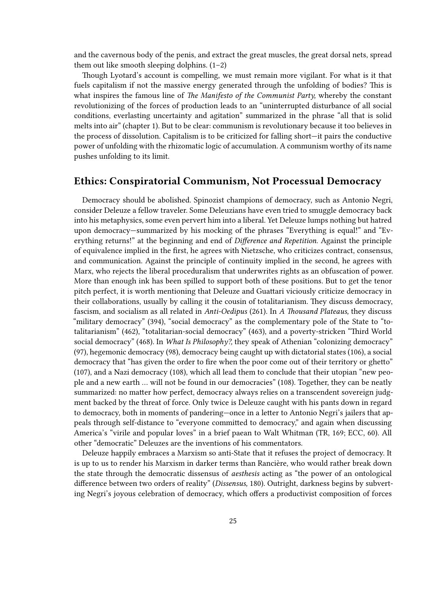and the cavernous body of the penis, and extract the great muscles, the great dorsal nets, spread them out like smooth sleeping dolphins.  $(1-2)$ 

Though Lyotard's account is compelling, we must remain more vigilant. For what is it that fuels capitalism if not the massive energy generated through the unfolding of bodies? This is what inspires the famous line of *The Manifesto of the Communist Party,* whereby the constant revolutionizing of the forces of production leads to an "uninterrupted disturbance of all social conditions, everlasting uncertainty and agitation" summarized in the phrase "all that is solid melts into air" (chapter 1). But to be clear: communism is revolutionary because it too believes in the process of dissolution. Capitalism is to be criticized for falling short—it pairs the conductive power of unfolding with the rhizomatic logic of accumulation. A communism worthy of its name pushes unfolding to its limit.

#### <span id="page-24-0"></span>**Ethics: Conspiratorial Communism, Not Processual Democracy**

Democracy should be abolished. Spinozist champions of democracy, such as Antonio Negri, consider Deleuze a fellow traveler. Some Deleuzians have even tried to smuggle democracy back into his metaphysics, some even pervert him into a liberal. Yet Deleuze lumps nothing but hatred upon democracy—summarized by his mocking of the phrases "Everything is equal!" and "Everything returns!" at the beginning and end of *Difference and Repetition*. Against the principle of equivalence implied in the first, he agrees with Nietzsche, who criticizes contract, consensus, and communication. Against the principle of continuity implied in the second, he agrees with Marx, who rejects the liberal proceduralism that underwrites rights as an obfuscation of power. More than enough ink has been spilled to support both of these positions. But to get the tenor pitch perfect, it is worth mentioning that Deleuze and Guattari viciously criticize democracy in their collaborations, usually by calling it the cousin of totalitarianism. They discuss democracy, fascism, and socialism as all related in *Anti-Oedipus* (261). In *A Thousand Plateaus,* they discuss "military democracy" (394), "social democracy" as the complementary pole of the State to "totalitarianism" (462), "totalitarian-social democracy" (463), and a poverty-stricken "Third World social democracy" (468). In *What Is Philosophy?,* they speak of Athenian "colonizing democracy" (97), hegemonic democracy (98), democracy being caught up with dictatorial states (106), a social democracy that "has given the order to fire when the poor come out of their territory or ghetto" (107), and a Nazi democracy (108), which all lead them to conclude that their utopian "new people and a new earth … will not be found in our democracies" (108). Together, they can be neatly summarized: no matter how perfect, democracy always relies on a transcendent sovereign judgment backed by the threat of force. Only twice is Deleuze caught with his pants down in regard to democracy, both in moments of pandering—once in a letter to Antonio Negri's jailers that appeals through self-distance to "everyone committed to democracy," and again when discussing America's "virile and popular loves" in a brief paean to Walt Whitman (TR, 169; ECC, 60). All other "democratic" Deleuzes are the inventions of his commentators.

Deleuze happily embraces a Marxism so anti-State that it refuses the project of democracy. It is up to us to render his Marxism in darker terms than Rancière, who would rather break down the state through the democratic dissensus of *aesthesis* acting as "the power of an ontological difference between two orders of reality" (*Dissensus,* 180). Outright, darkness begins by subverting Negri's joyous celebration of democracy, which offers a productivist composition of forces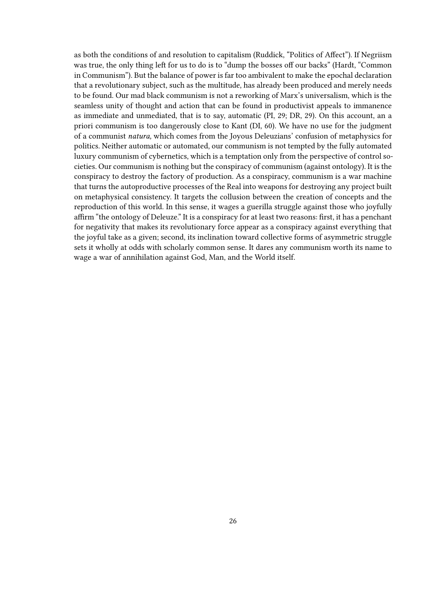as both the conditions of and resolution to capitalism (Ruddick, "Politics of Affect"). If Negriism was true, the only thing left for us to do is to "dump the bosses off our backs" (Hardt, "Common in Communism"). But the balance of power is far too ambivalent to make the epochal declaration that a revolutionary subject, such as the multitude, has already been produced and merely needs to be found. Our mad black communism is not a reworking of Marx's universalism, which is the seamless unity of thought and action that can be found in productivist appeals to immanence as immediate and unmediated, that is to say, automatic (PI, 29; DR, 29). On this account, an a priori communism is too dangerously close to Kant (DI, 60). We have no use for the judgment of a communist *natura,* which comes from the Joyous Deleuzians' confusion of metaphysics for politics. Neither automatic or automated, our communism is not tempted by the fully automated luxury communism of cybernetics, which is a temptation only from the perspective of control societies. Our communism is nothing but the conspiracy of communism (against ontology). It is the conspiracy to destroy the factory of production. As a conspiracy, communism is a war machine that turns the autoproductive processes of the Real into weapons for destroying any project built on metaphysical consistency. It targets the collusion between the creation of concepts and the reproduction of this world. In this sense, it wages a guerilla struggle against those who joyfully affirm "the ontology of Deleuze." It is a conspiracy for at least two reasons: first, it has a penchant for negativity that makes its revolutionary force appear as a conspiracy against everything that the joyful take as a given; second, its inclination toward collective forms of asymmetric struggle sets it wholly at odds with scholarly common sense. It dares any communism worth its name to wage a war of annihilation against God, Man, and the World itself.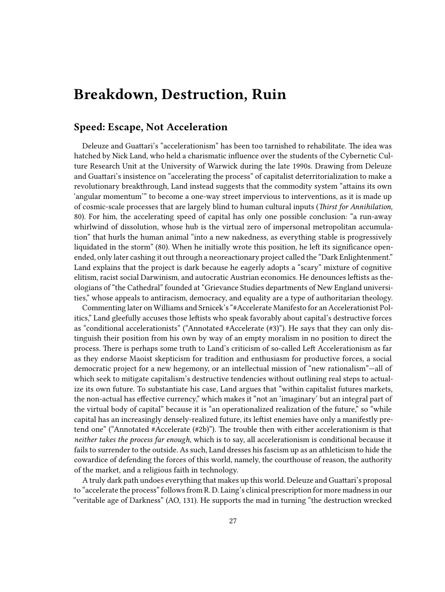## <span id="page-26-0"></span>**Breakdown, Destruction, Ruin**

## <span id="page-26-1"></span>**Speed: Escape, Not Acceleration**

Deleuze and Guattari's "accelerationism" has been too tarnished to rehabilitate. The idea was hatched by Nick Land, who held a charismatic influence over the students of the Cybernetic Culture Research Unit at the University of Warwick during the late 1990s. Drawing from Deleuze and Guattari's insistence on "accelerating the process" of capitalist deterritorialization to make a revolutionary breakthrough, Land instead suggests that the commodity system "attains its own 'angular momentum'" to become a one-way street impervious to interventions, as it is made up of cosmic-scale processes that are largely blind to human cultural inputs (*Thirst for Annihilation,* 80). For him, the accelerating speed of capital has only one possible conclusion: "a run-away whirlwind of dissolution, whose hub is the virtual zero of impersonal metropolitan accumulation" that hurls the human animal "into a new nakedness, as everything stable is progressively liquidated in the storm" (80). When he initially wrote this position, he left its significance openended, only later cashing it out through a neoreactionary project called the "Dark Enlightenment." Land explains that the project is dark because he eagerly adopts a "scary" mixture of cognitive elitism, racist social Darwinism, and autocratic Austrian economics. He denounces leftists as theologians of "the Cathedral" founded at "Grievance Studies departments of New England universities," whose appeals to antiracism, democracy, and equality are a type of authoritarian theology.

Commenting later on Williams and Srnicek's "#Accelerate Manifesto for an Accelerationist Politics," Land gleefully accuses those leftists who speak favorably about capital's destructive forces as "conditional accelerationists" ("Annotated #Accelerate (#3)"). He says that they can only distinguish their position from his own by way of an empty moralism in no position to direct the process. There is perhaps some truth to Land's criticism of so-called Left Accelerationism as far as they endorse Maoist skepticism for tradition and enthusiasm for productive forces, a social democratic project for a new hegemony, or an intellectual mission of "new rationalism"—all of which seek to mitigate capitalism's destructive tendencies without outlining real steps to actualize its own future. To substantiate his case, Land argues that "within capitalist futures markets, the non-actual has effective currency," which makes it "not an 'imaginary' but an integral part of the virtual body of capital" because it is "an operationalized realization of the future," so "while capital has an increasingly densely-realized future, its leftist enemies have only a manifestly pretend one" ("Annotated #Accelerate (#2b)"). The trouble then with either accelerationism is that *neither takes the process far enough,* which is to say, all accelerationism is conditional because it fails to surrender to the outside. As such, Land dresses his fascism up as an athleticism to hide the cowardice of defending the forces of this world, namely, the courthouse of reason, the authority of the market, and a religious faith in technology.

A truly dark path undoes everything that makes up this world. Deleuze and Guattari's proposal to "accelerate the process" follows from R. D. Laing's clinical prescription for more madness in our "veritable age of Darkness" (AO, 131). He supports the mad in turning "the destruction wrecked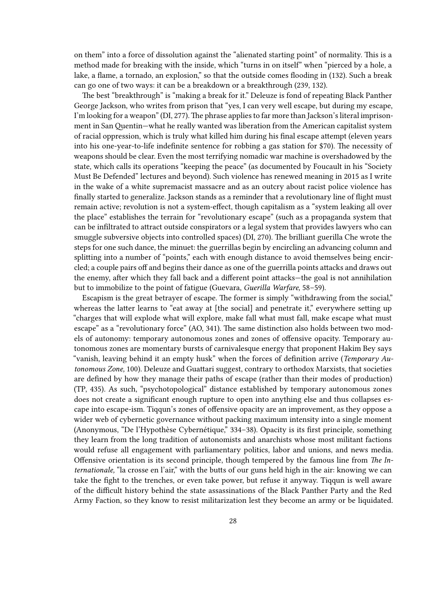on them" into a force of dissolution against the "alienated starting point" of normality. This is a method made for breaking with the inside, which "turns in on itself" when "pierced by a hole, a lake, a flame, a tornado, an explosion," so that the outside comes flooding in (132). Such a break can go one of two ways: it can be a breakdown or a breakthrough (239, 132).

The best "breakthrough" is "making a break for it." Deleuze is fond of repeating Black Panther George Jackson, who writes from prison that "yes, I can very well escape, but during my escape, I'm looking for a weapon" (DI, 277). The phrase applies to far more than Jackson's literal imprisonment in San Quentin—what he really wanted was liberation from the American capitalist system of racial oppression, which is truly what killed him during his final escape attempt (eleven years into his one-year-to-life indefinite sentence for robbing a gas station for \$70). The necessity of weapons should be clear. Even the most terrifying nomadic war machine is overshadowed by the state, which calls its operations "keeping the peace" (as documented by Foucault in his "Society Must Be Defended" lectures and beyond). Such violence has renewed meaning in 2015 as I write in the wake of a white supremacist massacre and as an outcry about racist police violence has finally started to generalize. Jackson stands as a reminder that a revolutionary line of flight must remain active; revolution is not a system-effect, though capitalism as a "system leaking all over the place" establishes the terrain for "revolutionary escape" (such as a propaganda system that can be infiltrated to attract outside conspirators or a legal system that provides lawyers who can smuggle subversive objects into controlled spaces) (DI, 270). The brilliant guerilla Che wrote the steps for one such dance, the minuet: the guerrillas begin by encircling an advancing column and splitting into a number of "points," each with enough distance to avoid themselves being encircled; a couple pairs off and begins their dance as one of the guerrilla points attacks and draws out the enemy, after which they fall back and a different point attacks—the goal is not annihilation but to immobilize to the point of fatigue (Guevara, *Guerilla Warfare,* 58–59).

Escapism is the great betrayer of escape. The former is simply "withdrawing from the social," whereas the latter learns to "eat away at [the social] and penetrate it," everywhere setting up "charges that will explode what will explore, make fall what must fall, make escape what must escape" as a "revolutionary force" (AO, 341). The same distinction also holds between two models of autonomy: temporary autonomous zones and zones of offensive opacity. Temporary autonomous zones are momentary bursts of carnivalesque energy that proponent Hakim Bey says "vanish, leaving behind it an empty husk" when the forces of definition arrive (*Temporary Autonomous Zone,* 100). Deleuze and Guattari suggest, contrary to orthodox Marxists, that societies are defined by how they manage their paths of escape (rather than their modes of production) (TP, 435). As such, "psychotopological" distance established by temporary autonomous zones does not create a significant enough rupture to open into anything else and thus collapses escape into escape-ism. Tiqqun's zones of offensive opacity are an improvement, as they oppose a wider web of cybernetic governance without packing maximum intensity into a single moment (Anonymous, "De l'Hypothèse Cybernétique," 334–38). Opacity is its first principle, something they learn from the long tradition of autonomists and anarchists whose most militant factions would refuse all engagement with parliamentary politics, labor and unions, and news media. Offensive orientation is its second principle, though tempered by the famous line from *The Internationale,* "la crosse en l'air," with the butts of our guns held high in the air: knowing we can take the fight to the trenches, or even take power, but refuse it anyway. Tiqqun is well aware of the difficult history behind the state assassinations of the Black Panther Party and the Red Army Faction, so they know to resist militarization lest they become an army or be liquidated.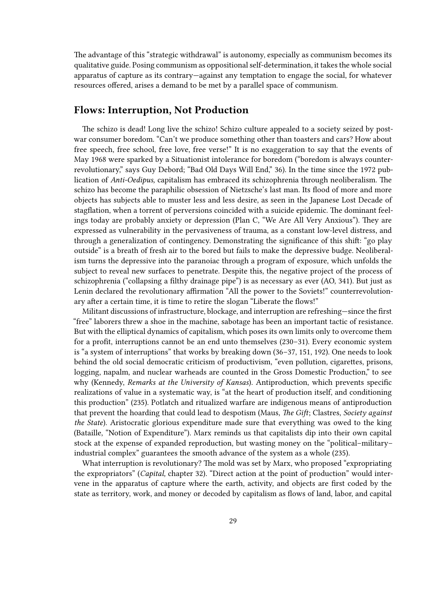The advantage of this "strategic withdrawal" is autonomy, especially as communism becomes its qualitative guide. Posing communism as oppositional self-determination, it takes the whole social apparatus of capture as its contrary—against any temptation to engage the social, for whatever resources offered, arises a demand to be met by a parallel space of communism.

## <span id="page-28-0"></span>**Flows: Interruption, Not Production**

The schizo is dead! Long live the schizo! Schizo culture appealed to a society seized by postwar consumer boredom. "Can't we produce something other than toasters and cars? How about free speech, free school, free love, free verse!" It is no exaggeration to say that the events of May 1968 were sparked by a Situationist intolerance for boredom ("boredom is always counterrevolutionary," says Guy Debord; "Bad Old Days Will End," 36). In the time since the 1972 publication of *Anti-Oedipus,* capitalism has embraced its schizophrenia through neoliberalism. The schizo has become the paraphilic obsession of Nietzsche's last man. Its flood of more and more objects has subjects able to muster less and less desire, as seen in the Japanese Lost Decade of stagflation, when a torrent of perversions coincided with a suicide epidemic. The dominant feelings today are probably anxiety or depression (Plan C, "We Are All Very Anxious"). They are expressed as vulnerability in the pervasiveness of trauma, as a constant low-level distress, and through a generalization of contingency. Demonstrating the significance of this shift: "go play outside" is a breath of fresh air to the bored but fails to make the depressive budge. Neoliberalism turns the depressive into the paranoiac through a program of exposure, which unfolds the subject to reveal new surfaces to penetrate. Despite this, the negative project of the process of schizophrenia ("collapsing a filthy drainage pipe") is as necessary as ever (AO, 341). But just as Lenin declared the revolutionary affirmation "All the power to the Soviets!" counterrevolutionary after a certain time, it is time to retire the slogan "Liberate the flows!"

Militant discussions of infrastructure, blockage, and interruption are refreshing—since the first "free" laborers threw a shoe in the machine, sabotage has been an important tactic of resistance. But with the elliptical dynamics of capitalism, which poses its own limits only to overcome them for a profit, interruptions cannot be an end unto themselves (230–31). Every economic system is "a system of interruptions" that works by breaking down (36–37, 151, 192). One needs to look behind the old social democratic criticism of productivism, "even pollution, cigarettes, prisons, logging, napalm, and nuclear warheads are counted in the Gross Domestic Production," to see why (Kennedy, *Remarks at the University of Kansas*). Antiproduction, which prevents specific realizations of value in a systematic way, is "at the heart of production itself, and conditioning this production" (235). Potlatch and ritualized warfare are indigenous means of antiproduction that prevent the hoarding that could lead to despotism (Maus, *The Gift*; Clastres, *Society against the State*). Aristocratic glorious expenditure made sure that everything was owed to the king (Bataille, "Notion of Expenditure"). Marx reminds us that capitalists dip into their own capital stock at the expense of expanded reproduction, but wasting money on the "political–military– industrial complex" guarantees the smooth advance of the system as a whole (235).

What interruption is revolutionary? The mold was set by Marx, who proposed "expropriating the expropriators" (*Capital,* chapter 32). "Direct action at the point of production" would intervene in the apparatus of capture where the earth, activity, and objects are first coded by the state as territory, work, and money or decoded by capitalism as flows of land, labor, and capital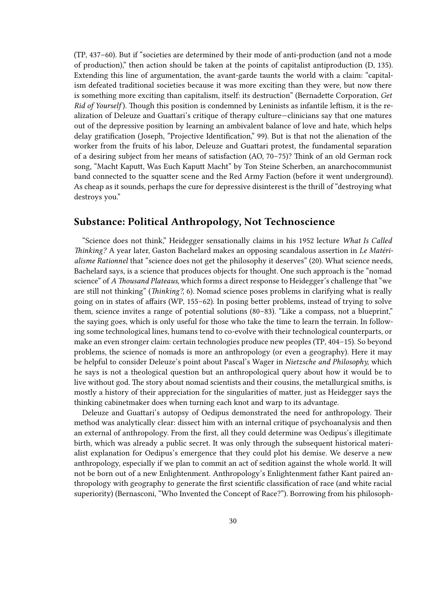(TP, 437–60). But if "societies are determined by their mode of anti-production (and not a mode of production)," then action should be taken at the points of capitalist antiproduction (D, 135). Extending this line of argumentation, the avant-garde taunts the world with a claim: "capitalism defeated traditional societies because it was more exciting than they were, but now there is something more exciting than capitalism, itself: its destruction" (Bernadette Corporation, *Get Rid of Yourself* ). Though this position is condemned by Leninists as infantile leftism, it is the realization of Deleuze and Guattari's critique of therapy culture—clinicians say that one matures out of the depressive position by learning an ambivalent balance of love and hate, which helps delay gratification (Joseph, "Projective Identification," 99). But is that not the alienation of the worker from the fruits of his labor, Deleuze and Guattari protest, the fundamental separation of a desiring subject from her means of satisfaction (AO, 70–75)? Think of an old German rock song, "Macht Kaputt, Was Euch Kaputt Macht" by Ton Steine Scherben, an anarchocommunist band connected to the squatter scene and the Red Army Faction (before it went underground). As cheap as it sounds, perhaps the cure for depressive disinterest is the thrill of "destroying what destroys you."

## <span id="page-29-0"></span>**Substance: Political Anthropology, Not Technoscience**

"Science does not think," Heidegger sensationally claims in his 1952 lecture *What Is Called Thinking?* A year later, Gaston Bachelard makes an opposing scandalous assertion in *Le Matérialisme Rationnel* that "science does not get the philosophy it deserves" (20). What science needs, Bachelard says, is a science that produces objects for thought. One such approach is the "nomad science" of *A Thousand Plateaus,* which forms a direct response to Heidegger's challenge that "we are still not thinking" (*Thinking?,* 6). Nomad science poses problems in clarifying what is really going on in states of affairs (WP, 155–62). In posing better problems, instead of trying to solve them, science invites a range of potential solutions (80–83). "Like a compass, not a blueprint," the saying goes, which is only useful for those who take the time to learn the terrain. In following some technological lines, humans tend to co-evolve with their technological counterparts, or make an even stronger claim: certain technologies produce new peoples (TP, 404–15). So beyond problems, the science of nomads is more an anthropology (or even a geography). Here it may be helpful to consider Deleuze's point about Pascal's Wager in *Nietzsche and Philosophy,* which he says is not a theological question but an anthropological query about how it would be to live without god. The story about nomad scientists and their cousins, the metallurgical smiths, is mostly a history of their appreciation for the singularities of matter, just as Heidegger says the thinking cabinetmaker does when turning each knot and warp to its advantage.

Deleuze and Guattari's autopsy of Oedipus demonstrated the need for anthropology. Their method was analytically clear: dissect him with an internal critique of psychoanalysis and then an external of anthropology. From the first, all they could determine was Oedipus's illegitimate birth, which was already a public secret. It was only through the subsequent historical materialist explanation for Oedipus's emergence that they could plot his demise. We deserve a new anthropology, especially if we plan to commit an act of sedition against the whole world. It will not be born out of a new Enlightenment. Anthropology's Enlightenment father Kant paired anthropology with geography to generate the first scientific classification of race (and white racial superiority) (Bernasconi, "Who Invented the Concept of Race?"). Borrowing from his philosoph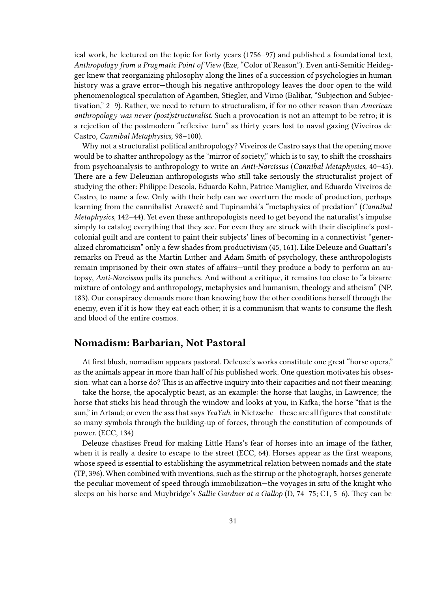ical work, he lectured on the topic for forty years (1756–97) and published a foundational text, *Anthropology from a Pragmatic Point of View* (Eze, "Color of Reason"). Even anti-Semitic Heidegger knew that reorganizing philosophy along the lines of a succession of psychologies in human history was a grave error—though his negative anthropology leaves the door open to the wild phenomenological speculation of Agamben, Stiegler, and Virno (Balibar, "Subjection and Subjectivation," 2–9). Rather, we need to return to structuralism, if for no other reason than *American anthropology was never (post)structuralist.* Such a provocation is not an attempt to be retro; it is a rejection of the postmodern "reflexive turn" as thirty years lost to naval gazing (Viveiros de Castro, *Cannibal Metaphysics,* 98–100).

Why not a structuralist political anthropology? Viveiros de Castro says that the opening move would be to shatter anthropology as the "mirror of society," which is to say, to shift the crosshairs from psychoanalysis to anthropology to write an *Anti-Narcissus* (*Cannibal Metaphysics,* 40–45). There are a few Deleuzian anthropologists who still take seriously the structuralist project of studying the other: Philippe Descola, Eduardo Kohn, Patrice Maniglier, and Eduardo Viveiros de Castro, to name a few. Only with their help can we overturn the mode of production, perhaps learning from the cannibalist Araweté and Tupinambá's "metaphysics of predation" (*Cannibal Metaphysics,* 142–44). Yet even these anthropologists need to get beyond the naturalist's impulse simply to catalog everything that they see. For even they are struck with their discipline's postcolonial guilt and are content to paint their subjects' lines of becoming in a connectivist "generalized chromaticism" only a few shades from productivism (45, 161). Like Deleuze and Guattari's remarks on Freud as the Martin Luther and Adam Smith of psychology, these anthropologists remain imprisoned by their own states of affairs—until they produce a body to perform an autopsy, *Anti-Narcissus* pulls its punches. And without a critique, it remains too close to "a bizarre mixture of ontology and anthropology, metaphysics and humanism, theology and atheism" (NP, 183). Our conspiracy demands more than knowing how the other conditions herself through the enemy, even if it is how they eat each other; it is a communism that wants to consume the flesh and blood of the entire cosmos.

#### <span id="page-30-0"></span>**Nomadism: Barbarian, Not Pastoral**

At first blush, nomadism appears pastoral. Deleuze's works constitute one great "horse opera," as the animals appear in more than half of his published work. One question motivates his obsession: what can a horse do? This is an affective inquiry into their capacities and not their meaning:

take the horse, the apocalyptic beast, as an example: the horse that laughs, in Lawrence; the horse that sticks his head through the window and looks at you, in Kafka; the horse "that is the sun," in Artaud; or even the ass that says *YeaYuh,* in Nietzsche—these are all figures that constitute so many symbols through the building-up of forces, through the constitution of compounds of power. (ECC, 134)

Deleuze chastises Freud for making Little Hans's fear of horses into an image of the father, when it is really a desire to escape to the street (ECC, 64). Horses appear as the first weapons, whose speed is essential to establishing the asymmetrical relation between nomads and the state (TP, 396). When combined with inventions, such as the stirrup or the photograph, horses generate the peculiar movement of speed through immobilization—the voyages in situ of the knight who sleeps on his horse and Muybridge's *Sallie Gardner at a Gallop* (D, 74–75; C1, 5–6). They can be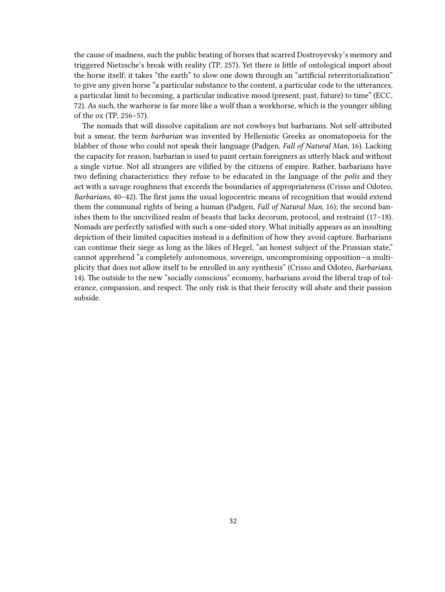the cause of madness, such the public beating of horses that scarred Dostroyevsky's memory and triggered Nietzsche's break with reality (TP, 257). Yet there is little of ontological import about the horse itself; it takes "the earth" to slow one down through an "artificial reterritorialization" to give any given horse "a particular substance to the content, a particular code to the utterances, a particular limit to becoming, a particular indicative mood (present, past, future) to time" (ECC, 72). As such, the warhorse is far more like a wolf than a workhorse, which is the younger sibling of the ox (TP, 256–57).

The nomads that will dissolve capitalism are not cowboys but barbarians. Not self-attributed but a smear, the term *barbarian* was invented by Hellenistic Greeks as onomatopoeia for the blabber of those who could not speak their language (Padgen, *Fall of Natural Man,* 16). Lacking the capacity for reason, barbarian is used to paint certain foreigners as utterly black and without a single virtue. Not all strangers are vilified by the citizens of empire. Rather, barbarians have two defining characteristics: they refuse to be educated in the language of the *polis* and they act with a savage roughness that exceeds the boundaries of appropriateness (Crisso and Odoteo, *Barbarians,* 40–42). The first jams the usual logocentric means of recognition that would extend them the communal rights of being a human (Padgen, *Fall of Natural Man,* 16); the second banishes them to the uncivilized realm of beasts that lacks decorum, protocol, and restraint (17–18). Nomads are perfectly satisfied with such a one-sided story. What initially appears as an insulting depiction of their limited capacities instead is a definition of how they avoid capture. Barbarians can continue their siege as long as the likes of Hegel, "an honest subject of the Prussian state," cannot apprehend "a completely autonomous, sovereign, uncompromising opposition—a multiplicity that does not allow itself to be enrolled in any synthesis" (Crisso and Odoteo, *Barbarians,* 14). The outside to the new "socially conscious" economy, barbarians avoid the liberal trap of tolerance, compassion, and respect. The only risk is that their ferocity will abate and their passion subside.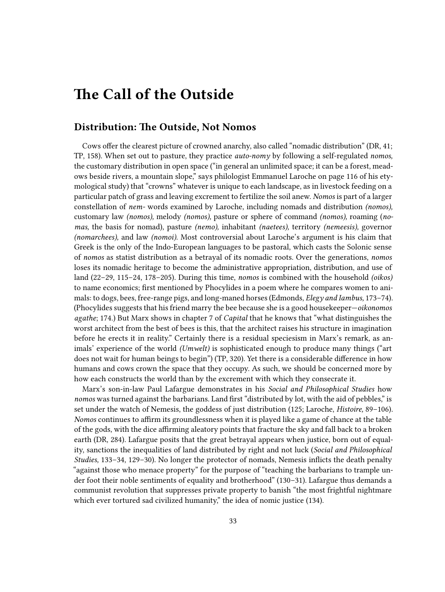## <span id="page-32-0"></span>**The Call of the Outside**

## <span id="page-32-1"></span>**Distribution: The Outside, Not Nomos**

Cows offer the clearest picture of crowned anarchy, also called "nomadic distribution" (DR, 41; TP, 158). When set out to pasture, they practice *auto-nomy* by following a self-regulated *nomos,* the customary distribution in open space ("in general an unlimited space; it can be a forest, meadows beside rivers, a mountain slope," says philologist Emmanuel Laroche on page 116 of his etymological study) that "crowns" whatever is unique to each landscape, as in livestock feeding on a particular patch of grass and leaving excrement to fertilize the soil anew. *Nomos* is part of a larger constellation of *nem-* words examined by Laroche, including nomads and distribution *(nomos),* customary law *(nomos),* melody *(nomos),* pasture or sphere of command *(nomos),* roaming (*nomas,* the basis for nomad), pasture *(nemo),* inhabitant *(naetees),* territory *(nemeesis),* governor *(nomarchees),* and law *(nomoi).* Most controversial about Laroche's argument is his claim that Greek is the only of the Indo-European languages to be pastoral, which casts the Solonic sense of *nomos* as statist distribution as a betrayal of its nomadic roots. Over the generations, *nomos* loses its nomadic heritage to become the administrative appropriation, distribution, and use of land (22–29, 115–24, 178–205). During this time, *nomos* is combined with the household *(oikos)* to name economics; first mentioned by Phocylides in a poem where he compares women to animals: to dogs, bees, free-range pigs, and long-maned horses (Edmonds, *Elegy and Iambus,* 173–74). (Phocylides suggests that his friend marry the bee because she is a good housekeeper—*oikonomos agathe*; 174.) But Marx shows in chapter 7 of *Capital* that he knows that "what distinguishes the worst architect from the best of bees is this, that the architect raises his structure in imagination before he erects it in reality." Certainly there is a residual speciesism in Marx's remark, as animals' experience of the world *(Umwelt)* is sophisticated enough to produce many things ("art does not wait for human beings to begin") (TP, 320). Yet there is a considerable difference in how humans and cows crown the space that they occupy. As such, we should be concerned more by how each constructs the world than by the excrement with which they consecrate it.

Marx's son-in-law Paul Lafargue demonstrates in his *Social and Philosophical Studies* how *nomos* was turned against the barbarians. Land first "distributed by lot, with the aid of pebbles," is set under the watch of Nemesis, the goddess of just distribution (125; Laroche, *Histoire,* 89–106). *Nomos* continues to affirm its groundlessness when it is played like a game of chance at the table of the gods, with the dice affirming aleatory points that fracture the sky and fall back to a broken earth (DR, 284). Lafargue posits that the great betrayal appears when justice, born out of equality, sanctions the inequalities of land distributed by right and not luck (*Social and Philosophical Studies,* 133–34, 129–30). No longer the protector of nomads, Nemesis inflicts the death penalty "against those who menace property" for the purpose of "teaching the barbarians to trample under foot their noble sentiments of equality and brotherhood" (130–31). Lafargue thus demands a communist revolution that suppresses private property to banish "the most frightful nightmare which ever tortured sad civilized humanity," the idea of nomic justice (134).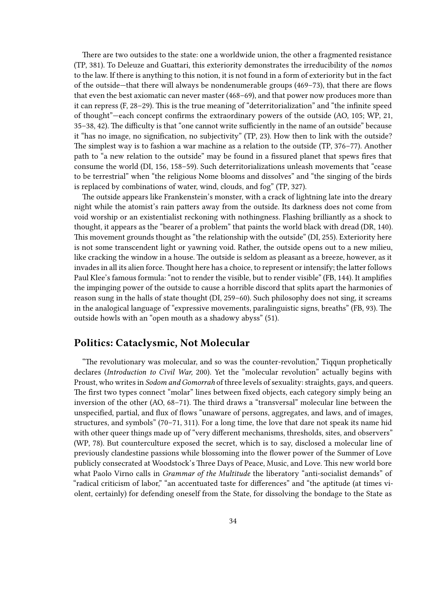There are two outsides to the state: one a worldwide union, the other a fragmented resistance (TP, 381). To Deleuze and Guattari, this exteriority demonstrates the irreducibility of the *nomos* to the law. If there is anything to this notion, it is not found in a form of exteriority but in the fact of the outside—that there will always be nondenumerable groups (469–73), that there are flows that even the best axiomatic can never master (468–69), and that power now produces more than it can repress (F, 28–29). This is the true meaning of "deterritorialization" and "the infinite speed of thought"—each concept confirms the extraordinary powers of the outside (AO, 105; WP, 21, 35–38, 42). The difficulty is that "one cannot write sufficiently in the name of an outside" because it "has no image, no signification, no subjectivity" (TP, 23). How then to link with the outside? The simplest way is to fashion a war machine as a relation to the outside (TP, 376–77). Another path to "a new relation to the outside" may be found in a fissured planet that spews fires that consume the world (DI, 156, 158–59). Such deterritorializations unleash movements that "cease to be terrestrial" when "the religious Nome blooms and dissolves" and "the singing of the birds is replaced by combinations of water, wind, clouds, and fog" (TP, 327).

The outside appears like Frankenstein's monster, with a crack of lightning late into the dreary night while the atomist's rain patters away from the outside. Its darkness does not come from void worship or an existentialist reckoning with nothingness. Flashing brilliantly as a shock to thought, it appears as the "bearer of a problem" that paints the world black with dread (DR, 140). This movement grounds thought as "the relationship with the outside" (DI, 255). Exteriority here is not some transcendent light or yawning void. Rather, the outside opens out to a new milieu, like cracking the window in a house. The outside is seldom as pleasant as a breeze, however, as it invades in all its alien force. Thought here has a choice, to represent or intensify; the latter follows Paul Klee's famous formula: "not to render the visible, but to render visible" (FB, 144). It amplifies the impinging power of the outside to cause a horrible discord that splits apart the harmonies of reason sung in the halls of state thought (DI, 259–60). Such philosophy does not sing, it screams in the analogical language of "expressive movements, paralinguistic signs, breaths" (FB, 93). The outside howls with an "open mouth as a shadowy abyss" (51).

### <span id="page-33-0"></span>**Politics: Cataclysmic, Not Molecular**

"The revolutionary was molecular, and so was the counter-revolution," Tiqqun prophetically declares (*Introduction to Civil War,* 200). Yet the "molecular revolution" actually begins with Proust, who writes in *Sodom and Gomorrah* of three levels of sexuality: straights, gays, and queers. The first two types connect "molar" lines between fixed objects, each category simply being an inversion of the other (AO, 68–71). The third draws a "transversal" molecular line between the unspecified, partial, and flux of flows "unaware of persons, aggregates, and laws, and of images, structures, and symbols" (70–71, 311). For a long time, the love that dare not speak its name hid with other queer things made up of "very different mechanisms, thresholds, sites, and observers" (WP, 78). But counterculture exposed the secret, which is to say, disclosed a molecular line of previously clandestine passions while blossoming into the flower power of the Summer of Love publicly consecrated at Woodstock's Three Days of Peace, Music, and Love. This new world bore what Paolo Virno calls in *Grammar of the Multitude* the liberatory "anti-socialist demands" of "radical criticism of labor," "an accentuated taste for differences" and "the aptitude (at times violent, certainly) for defending oneself from the State, for dissolving the bondage to the State as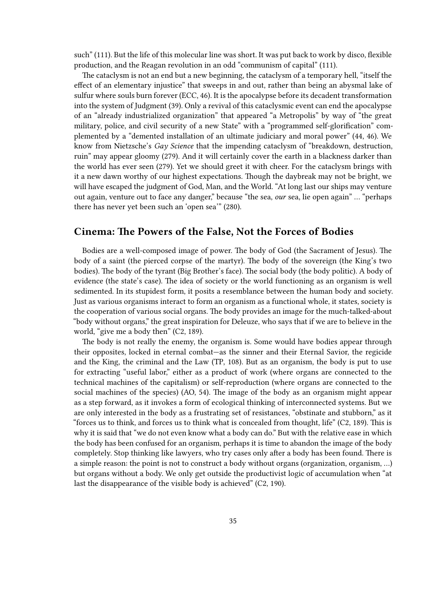such" (111). But the life of this molecular line was short. It was put back to work by disco, flexible production, and the Reagan revolution in an odd "communism of capital" (111).

The cataclysm is not an end but a new beginning, the cataclysm of a temporary hell, "itself the effect of an elementary injustice" that sweeps in and out, rather than being an abysmal lake of sulfur where souls burn forever (ECC, 46). It is the apocalypse before its decadent transformation into the system of Judgment (39). Only a revival of this cataclysmic event can end the apocalypse of an "already industrialized organization" that appeared "a Metropolis" by way of "the great military, police, and civil security of a new State" with a "programmed self-glorification" complemented by a "demented installation of an ultimate judiciary and moral power" (44, 46). We know from Nietzsche's *Gay Science* that the impending cataclysm of "breakdown, destruction, ruin" may appear gloomy (279). And it will certainly cover the earth in a blackness darker than the world has ever seen (279). Yet we should greet it with cheer. For the cataclysm brings with it a new dawn worthy of our highest expectations. Though the daybreak may not be bright, we will have escaped the judgment of God, Man, and the World. "At long last our ships may venture out again, venture out to face any danger," because "the sea, *our* sea, lie open again" … "perhaps there has never yet been such an 'open sea'" (280).

### <span id="page-34-0"></span>**Cinema: The Powers of the False, Not the Forces of Bodies**

Bodies are a well-composed image of power. The body of God (the Sacrament of Jesus). The body of a saint (the pierced corpse of the martyr). The body of the sovereign (the King's two bodies). The body of the tyrant (Big Brother's face). The social body (the body politic). A body of evidence (the state's case). The idea of society or the world functioning as an organism is well sedimented. In its stupidest form, it posits a resemblance between the human body and society. Just as various organisms interact to form an organism as a functional whole, it states, society is the cooperation of various social organs. The body provides an image for the much-talked-about "body without organs," the great inspiration for Deleuze, who says that if we are to believe in the world, "give me a body then" (C2, 189).

The body is not really the enemy, the organism is. Some would have bodies appear through their opposites, locked in eternal combat—as the sinner and their Eternal Savior, the regicide and the King, the criminal and the Law (TP, 108). But as an organism, the body is put to use for extracting "useful labor," either as a product of work (where organs are connected to the technical machines of the capitalism) or self-reproduction (where organs are connected to the social machines of the species) (AO, 54). The image of the body as an organism might appear as a step forward, as it invokes a form of ecological thinking of interconnected systems. But we are only interested in the body as a frustrating set of resistances, "obstinate and stubborn," as it "forces us to think, and forces us to think what is concealed from thought, life" (C2, 189). This is why it is said that "we do not even know what a body can do." But with the relative ease in which the body has been confused for an organism, perhaps it is time to abandon the image of the body completely. Stop thinking like lawyers, who try cases only after a body has been found. There is a simple reason: the point is not to construct a body without organs (organization, organism, …) but organs without a body. We only get outside the productivist logic of accumulation when "at last the disappearance of the visible body is achieved" (C2, 190).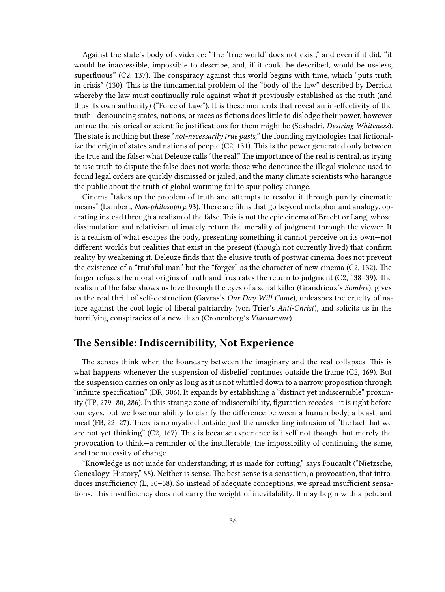Against the state's body of evidence: "The 'true world' does not exist," and even if it did, "it would be inaccessible, impossible to describe, and, if it could be described, would be useless, superfluous" (C2, 137). The conspiracy against this world begins with time, which "puts truth in crisis" (130). This is the fundamental problem of the "body of the law" described by Derrida whereby the law must continually rule against what it previously established as the truth (and thus its own authority) ("Force of Law"). It is these moments that reveal an in-effectivity of the truth—denouncing states, nations, or races as fictions does little to dislodge their power, however untrue the historical or scientific justifications for them might be (Seshadri, *Desiring Whiteness*). The state is nothing but these "*not-necessarily true pasts,*" the founding mythologies that fictionalize the origin of states and nations of people (C2, 131). This is the power generated only between the true and the false: what Deleuze calls "the real." The importance of the real is central, as trying to use truth to dispute the false does not work: those who denounce the illegal violence used to found legal orders are quickly dismissed or jailed, and the many climate scientists who harangue the public about the truth of global warming fail to spur policy change.

Cinema "takes up the problem of truth and attempts to resolve it through purely cinematic means" (Lambert, *Non-philosophy,* 93). There are films that go beyond metaphor and analogy, operating instead through a realism of the false. This is not the epic cinema of Brecht or Lang, whose dissimulation and relativism ultimately return the morality of judgment through the viewer. It is a realism of what escapes the body, presenting something it cannot perceive on its own—not different worlds but realities that exist in the present (though not currently lived) that confirm reality by weakening it. Deleuze finds that the elusive truth of postwar cinema does not prevent the existence of a "truthful man" but the "forger" as the character of new cinema (C2, 132). The forger refuses the moral origins of truth and frustrates the return to judgment (C2, 138–39). The realism of the false shows us love through the eyes of a serial killer (Grandrieux's *Sombre*), gives us the real thrill of self-destruction (Gavras's *Our Day Will Come*), unleashes the cruelty of nature against the cool logic of liberal patriarchy (von Trier's *Anti-Christ*), and solicits us in the horrifying conspiracies of a new flesh (Cronenberg's *Videodrome*).

### <span id="page-35-0"></span>**The Sensible: Indiscernibility, Not Experience**

The senses think when the boundary between the imaginary and the real collapses. This is what happens whenever the suspension of disbelief continues outside the frame (C2, 169). But the suspension carries on only as long as it is not whittled down to a narrow proposition through "infinite specification" (DR, 306). It expands by establishing a "distinct yet indiscernible" proximity (TP, 279–80, 286). In this strange zone of indiscernibility, figuration recedes—it is right before our eyes, but we lose our ability to clarify the difference between a human body, a beast, and meat (FB, 22–27). There is no mystical outside, just the unrelenting intrusion of "the fact that we are not yet thinking" (C2, 167). This is because experience is itself not thought but merely the provocation to think—a reminder of the insufferable, the impossibility of continuing the same, and the necessity of change.

"Knowledge is not made for understanding; it is made for cutting," says Foucault ("Nietzsche, Genealogy, History," 88). Neither is sense. The best sense is a sensation, a provocation, that introduces insufficiency (L, 50–58). So instead of adequate conceptions, we spread insufficient sensations. This insufficiency does not carry the weight of inevitability. It may begin with a petulant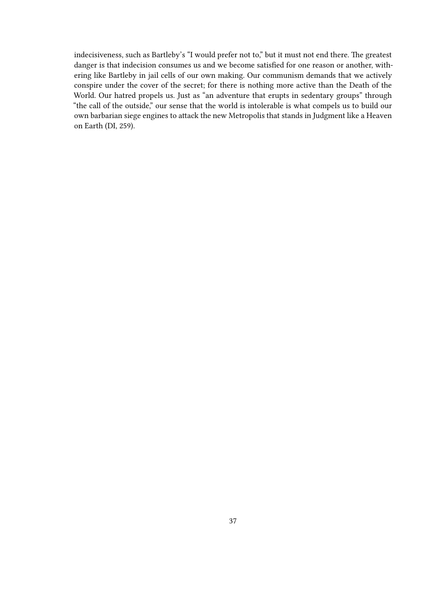indecisiveness, such as Bartleby's "I would prefer not to," but it must not end there. The greatest danger is that indecision consumes us and we become satisfied for one reason or another, withering like Bartleby in jail cells of our own making. Our communism demands that we actively conspire under the cover of the secret; for there is nothing more active than the Death of the World. Our hatred propels us. Just as "an adventure that erupts in sedentary groups" through "the call of the outside," our sense that the world is intolerable is what compels us to build our own barbarian siege engines to attack the new Metropolis that stands in Judgment like a Heaven on Earth (DI, 259).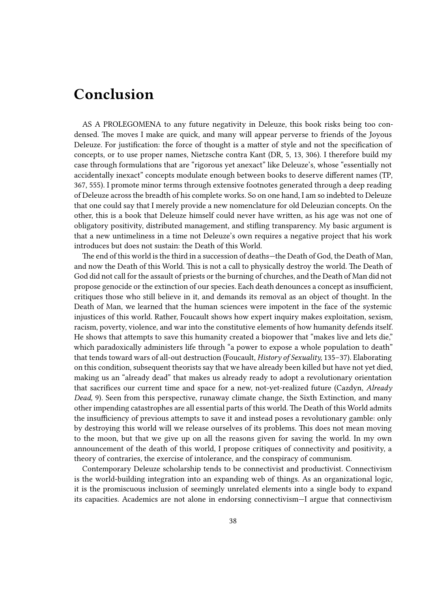## <span id="page-37-0"></span>**Conclusion**

AS A PROLEGOMENA to any future negativity in Deleuze, this book risks being too condensed. The moves I make are quick, and many will appear perverse to friends of the Joyous Deleuze. For justification: the force of thought is a matter of style and not the specification of concepts, or to use proper names, Nietzsche contra Kant (DR, 5, 13, 306). I therefore build my case through formulations that are "rigorous yet anexact" like Deleuze's, whose "essentially not accidentally inexact" concepts modulate enough between books to deserve different names (TP, 367, 555). I promote minor terms through extensive footnotes generated through a deep reading of Deleuze across the breadth of his complete works. So on one hand, I am so indebted to Deleuze that one could say that I merely provide a new nomenclature for old Deleuzian concepts. On the other, this is a book that Deleuze himself could never have written, as his age was not one of obligatory positivity, distributed management, and stifling transparency. My basic argument is that a new untimeliness in a time not Deleuze's own requires a negative project that his work introduces but does not sustain: the Death of this World.

The end of this world is the third in a succession of deaths—the Death of God, the Death of Man, and now the Death of this World. This is not a call to physically destroy the world. The Death of God did not call for the assault of priests or the burning of churches, and the Death of Man did not propose genocide or the extinction of our species. Each death denounces a concept as insufficient, critiques those who still believe in it, and demands its removal as an object of thought. In the Death of Man, we learned that the human sciences were impotent in the face of the systemic injustices of this world. Rather, Foucault shows how expert inquiry makes exploitation, sexism, racism, poverty, violence, and war into the constitutive elements of how humanity defends itself. He shows that attempts to save this humanity created a biopower that "makes live and lets die," which paradoxically administers life through "a power to expose a whole population to death" that tends toward wars of all-out destruction (Foucault, *History of Sexuality,* 135–37). Elaborating on this condition, subsequent theorists say that we have already been killed but have not yet died, making us an "already dead" that makes us already ready to adopt a revolutionary orientation that sacrifices our current time and space for a new, not-yet-realized future (Cazdyn, *Already Dead,* 9). Seen from this perspective, runaway climate change, the Sixth Extinction, and many other impending catastrophes are all essential parts of this world. The Death of this World admits the insufficiency of previous attempts to save it and instead poses a revolutionary gamble: only by destroying this world will we release ourselves of its problems. This does not mean moving to the moon, but that we give up on all the reasons given for saving the world. In my own announcement of the death of this world, I propose critiques of connectivity and positivity, a theory of contraries, the exercise of intolerance, and the conspiracy of communism.

Contemporary Deleuze scholarship tends to be connectivist and productivist. Connectivism is the world-building integration into an expanding web of things. As an organizational logic, it is the promiscuous inclusion of seemingly unrelated elements into a single body to expand its capacities. Academics are not alone in endorsing connectivism—I argue that connectivism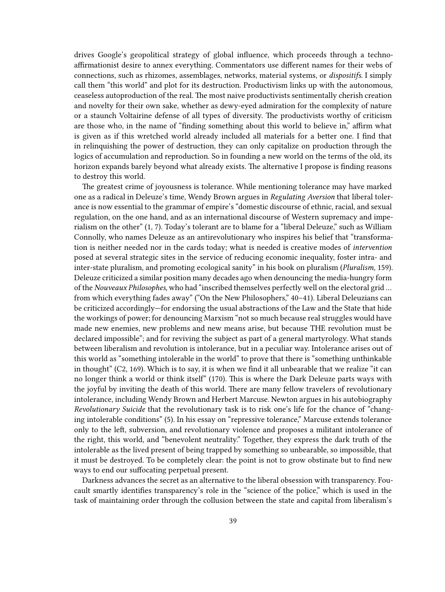drives Google's geopolitical strategy of global influence, which proceeds through a technoaffirmationist desire to annex everything. Commentators use different names for their webs of connections, such as rhizomes, assemblages, networks, material systems, or *dispositifs*. I simply call them "this world" and plot for its destruction. Productivism links up with the autonomous, ceaseless autoproduction of the real. The most naive productivists sentimentally cherish creation and novelty for their own sake, whether as dewy-eyed admiration for the complexity of nature or a staunch Voltairine defense of all types of diversity. The productivists worthy of criticism are those who, in the name of "finding something about this world to believe in," affirm what is given as if this wretched world already included all materials for a better one. I find that in relinquishing the power of destruction, they can only capitalize on production through the logics of accumulation and reproduction. So in founding a new world on the terms of the old, its horizon expands barely beyond what already exists. The alternative I propose is finding reasons to destroy this world.

The greatest crime of joyousness is tolerance. While mentioning tolerance may have marked one as a radical in Deleuze's time, Wendy Brown argues in *Regulating Aversion* that liberal tolerance is now essential to the grammar of empire's "domestic discourse of ethnic, racial, and sexual regulation, on the one hand, and as an international discourse of Western supremacy and imperialism on the other" (1, 7). Today's tolerant are to blame for a "liberal Deleuze," such as William Connolly, who names Deleuze as an antirevolutionary who inspires his belief that "transformation is neither needed nor in the cards today; what is needed is creative modes of *intervention* posed at several strategic sites in the service of reducing economic inequality, foster intra- and inter-state pluralism, and promoting ecological sanity" in his book on pluralism (*Pluralism,* 159). Deleuze criticized a similar position many decades ago when denouncing the media-hungry form of the *Nouveaux Philosophes,* who had "inscribed themselves perfectly well on the electoral grid … from which everything fades away" ("On the New Philosophers," 40–41). Liberal Deleuzians can be criticized accordingly—for endorsing the usual abstractions of the Law and the State that hide the workings of power; for denouncing Marxism "not so much because real struggles would have made new enemies, new problems and new means arise, but because THE revolution must be declared impossible"; and for reviving the subject as part of a general martyrology. What stands between liberalism and revolution is intolerance, but in a peculiar way. Intolerance arises out of this world as "something intolerable in the world" to prove that there is "something unthinkable in thought" (C2, 169). Which is to say, it is when we find it all unbearable that we realize "it can no longer think a world or think itself" (170). This is where the Dark Deleuze parts ways with the joyful by inviting the death of this world. There are many fellow travelers of revolutionary intolerance, including Wendy Brown and Herbert Marcuse. Newton argues in his autobiography *Revolutionary Suicide* that the revolutionary task is to risk one's life for the chance of "changing intolerable conditions" (5). In his essay on "repressive tolerance," Marcuse extends tolerance only to the left, subversion, and revolutionary violence and proposes a militant intolerance of the right, this world, and "benevolent neutrality." Together, they express the dark truth of the intolerable as the lived present of being trapped by something so unbearable, so impossible, that it must be destroyed. To be completely clear: the point is not to grow obstinate but to find new ways to end our suffocating perpetual present.

Darkness advances the secret as an alternative to the liberal obsession with transparency. Foucault smartly identifies transparency's role in the "science of the police," which is used in the task of maintaining order through the collusion between the state and capital from liberalism's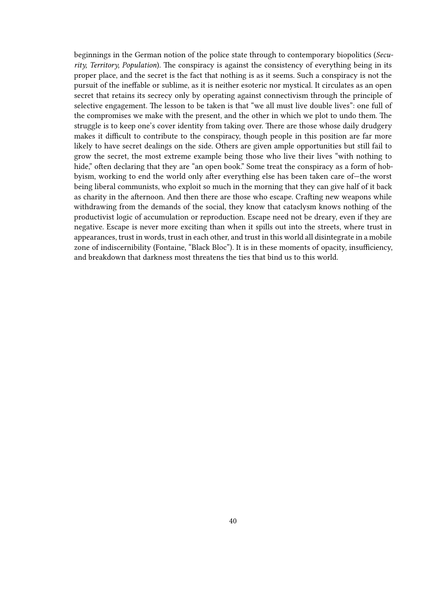beginnings in the German notion of the police state through to contemporary biopolitics (*Security, Territory, Population*). The conspiracy is against the consistency of everything being in its proper place, and the secret is the fact that nothing is as it seems. Such a conspiracy is not the pursuit of the ineffable or sublime, as it is neither esoteric nor mystical. It circulates as an open secret that retains its secrecy only by operating against connectivism through the principle of selective engagement. The lesson to be taken is that "we all must live double lives": one full of the compromises we make with the present, and the other in which we plot to undo them. The struggle is to keep one's cover identity from taking over. There are those whose daily drudgery makes it difficult to contribute to the conspiracy, though people in this position are far more likely to have secret dealings on the side. Others are given ample opportunities but still fail to grow the secret, the most extreme example being those who live their lives "with nothing to hide," often declaring that they are "an open book." Some treat the conspiracy as a form of hobbyism, working to end the world only after everything else has been taken care of—the worst being liberal communists, who exploit so much in the morning that they can give half of it back as charity in the afternoon. And then there are those who escape. Crafting new weapons while withdrawing from the demands of the social, they know that cataclysm knows nothing of the productivist logic of accumulation or reproduction. Escape need not be dreary, even if they are negative. Escape is never more exciting than when it spills out into the streets, where trust in appearances, trust in words, trust in each other, and trust in this world all disintegrate in a mobile zone of indiscernibility (Fontaine, "Black Bloc"). It is in these moments of opacity, insufficiency, and breakdown that darkness most threatens the ties that bind us to this world.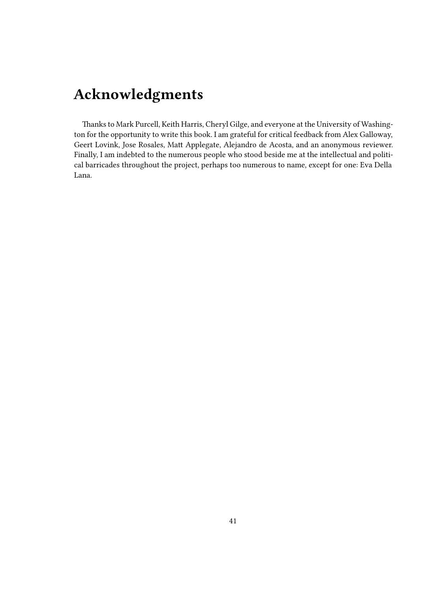# <span id="page-40-0"></span>**Acknowledgments**

Thanks to Mark Purcell, Keith Harris, Cheryl Gilge, and everyone at the University of Washington for the opportunity to write this book. I am grateful for critical feedback from Alex Galloway, Geert Lovink, Jose Rosales, Matt Applegate, Alejandro de Acosta, and an anonymous reviewer. Finally, I am indebted to the numerous people who stood beside me at the intellectual and political barricades throughout the project, perhaps too numerous to name, except for one: Eva Della Lana.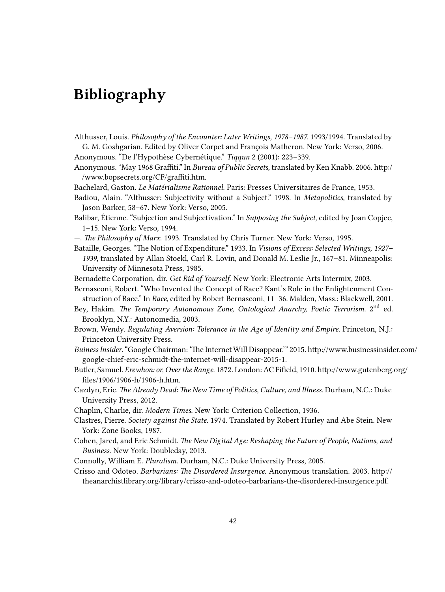# <span id="page-41-0"></span>**Bibliography**

Althusser, Louis. *Philosophy of the Encounter: Later Writings, 1978–1987*. 1993/1994. Translated by G. M. Goshgarian. Edited by Oliver Corpet and François Matheron. New York: Verso, 2006.

Anonymous. "De l'Hypothèse Cybernétique." *Tiqqun* 2 (2001): 223–339.

- Anonymous. "May 1968 Graffiti." In *Bureau of Public Secrets,* translated by Ken Knabb. 2006. [http:/](http://www.bopsecrets.org/CF/graffiti.htm) [/www.bopsecrets.org/CF/graffiti.htm.](http://www.bopsecrets.org/CF/graffiti.htm)
- Bachelard, Gaston. *Le Matérialisme Rationnel*. Paris: Presses Universitaires de France, 1953.
- Badiou, Alain. "Althusser: Subjectivity without a Subject." 1998. In *Metapolitics,* translated by Jason Barker, 58–67. New York: Verso, 2005.
- Balibar, Étienne. "Subjection and Subjectivation." In *Supposing the Subject,* edited by Joan Copjec, 1–15. New York: Verso, 1994.
- —. *The Philosophy of Marx*. 1993. Translated by Chris Turner. New York: Verso, 1995.
- Bataille, Georges. "The Notion of Expenditure." 1933. In *Visions of Excess: Selected Writings, 1927– 1939,* translated by Allan Stoekl, Carl R. Lovin, and Donald M. Leslie Jr., 167–81. Minneapolis: University of Minnesota Press, 1985.
- Bernadette Corporation, dir. *Get Rid of Yourself*. New York: Electronic Arts Intermix, 2003.
- Bernasconi, Robert. "Who Invented the Concept of Race? Kant's Role in the Enlightenment Construction of Race." In *Race,* edited by Robert Bernasconi, 11–36. Malden, Mass.: Blackwell, 2001.
- Bey, Hakim. *The Temporary Autonomous Zone, Ontological Anarchy, Poetic Terrorism*. 2nd ed. Brooklyn, N.Y.: Autonomedia, 2003.
- Brown, Wendy. *Regulating Aversion: Tolerance in the Age of Identity and Empire*. Princeton, N.J.: Princeton University Press.
- *Buiness Insider*. "Google Chairman: 'The Internet Will Disappear.'" 2015. [http://www.businessinsider.com/](http://www.businessinsider.com/google-chief-eric-schmidt-the-internet-will-disappear-2015-1) [google-chief-eric-schmidt-the-internet-will-disappear-2015-1.](http://www.businessinsider.com/google-chief-eric-schmidt-the-internet-will-disappear-2015-1)
- Butler, Samuel. *Erewhon: or, Over the Range*. 1872. London: AC Fifield, 1910. [http://www.gutenberg.org/](http://www.gutenberg.org/files/1906/1906-h/1906-h.htm) [files/1906/1906-h/1906-h.htm](http://www.gutenberg.org/files/1906/1906-h/1906-h.htm).
- Cazdyn, Eric. *The Already Dead: The New Time of Politics, Culture, and Illness*. Durham, N.C.: Duke University Press, 2012.
- Chaplin, Charlie, dir. *Modern Times*. New York: Criterion Collection, 1936.
- Clastres, Pierre. *Society against the State*. 1974. Translated by Robert Hurley and Abe Stein. New York: Zone Books, 1987.
- Cohen, Jared, and Eric Schmidt. *The New Digital Age: Reshaping the Future of People, Nations, and Business*. New York: Doubleday, 2013.
- Connolly, William E. *Pluralism*. Durham, N.C.: Duke University Press, 2005.
- Crisso and Odoteo. *Barbarians: The Disordered Insurgence*. Anonymous translation. 2003. [http://](http://theanarchistlibrary.org/library/crisso-and-odoteo-barbarians-the-disordered-insurgence.pdf) [theanarchistlibrary.org/library/crisso-and-odoteo-barbarians-the-disordered-insurgence.pdf.](http://theanarchistlibrary.org/library/crisso-and-odoteo-barbarians-the-disordered-insurgence.pdf)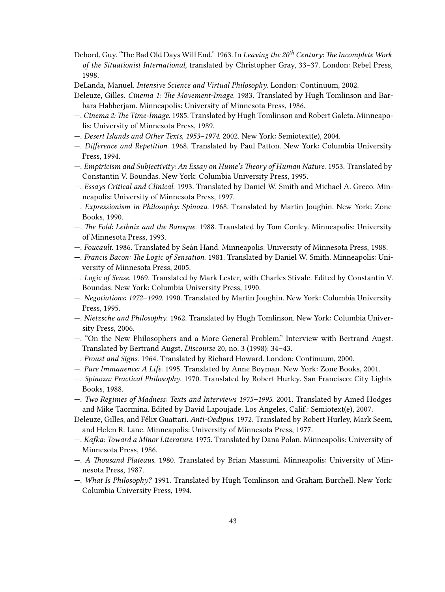- Debord, Guy. "The Bad Old Days Will End." 1963. In *Leaving the 20th Century: The Incomplete Work of the Situationist International,* translated by Christopher Gray, 33–37. London: Rebel Press, 1998.
- DeLanda, Manuel. *Intensive Science and Virtual Philosophy*. London: Continuum, 2002.
- Deleuze, Gilles. *Cinema 1: The Movement-Image*. 1983. Translated by Hugh Tomlinson and Barbara Habberjam. Minneapolis: University of Minnesota Press, 1986.
- —. *Cinema 2: The Time-Image*. 1985. Translated by Hugh Tomlinson and Robert Galeta. Minneapolis: University of Minnesota Press, 1989.
- —. *Desert Islands and Other Texts, 1953–1974*. 2002. New York: Semiotext(e), 2004.
- —. *Difference and Repetition*. 1968. Translated by Paul Patton. New York: Columbia University Press, 1994.
- —. *Empiricism and Subjectivity: An Essay on Hume's Theory of Human Nature*. 1953. Translated by Constantin V. Boundas. New York: Columbia University Press, 1995.
- —. *Essays Critical and Clinical*. 1993. Translated by Daniel W. Smith and Michael A. Greco. Minneapolis: University of Minnesota Press, 1997.
- —. *Expressionism in Philosophy: Spinoza*. 1968. Translated by Martin Joughin. New York: Zone Books, 1990.
- —. *The Fold: Leibniz and the Baroque*. 1988. Translated by Tom Conley. Minneapolis: University of Minnesota Press, 1993.
- —. *Foucault*. 1986. Translated by Seán Hand. Minneapolis: University of Minnesota Press, 1988.
- —. *Francis Bacon: The Logic of Sensation*. 1981. Translated by Daniel W. Smith. Minneapolis: University of Minnesota Press, 2005.
- —. *Logic of Sense*. 1969. Translated by Mark Lester, with Charles Stivale. Edited by Constantin V. Boundas. New York: Columbia University Press, 1990.
- —. *Negotiations: 1972–1990*. 1990. Translated by Martin Joughin. New York: Columbia University Press, 1995.
- —. *Nietzsche and Philosophy*. 1962. Translated by Hugh Tomlinson. New York: Columbia University Press, 2006.
- —. "On the New Philosophers and a More General Problem." Interview with Bertrand Augst. Translated by Bertrand Augst. *Discourse* 20, no. 3 (1998): 34–43.
- —. *Proust and Signs*. 1964. Translated by Richard Howard. London: Continuum, 2000.
- —. *Pure Immanence: A Life*. 1995. Translated by Anne Boyman. New York: Zone Books, 2001.
- —. *Spinoza: Practical Philosophy*. 1970. Translated by Robert Hurley. San Francisco: City Lights Books, 1988.
- —. *Two Regimes of Madness: Texts and Interviews 1975–1995*. 2001. Translated by Amed Hodges and Mike Taormina. Edited by David Lapoujade. Los Angeles, Calif.: Semiotext(e), 2007.
- Deleuze, Gilles, and Félix Guattari. *Anti-Oedipus*. 1972. Translated by Robert Hurley, Mark Seem, and Helen R. Lane. Minneapolis: University of Minnesota Press, 1977.
- —. *Kafka: Toward a Minor Literature*. 1975. Translated by Dana Polan. Minneapolis: University of Minnesota Press, 1986.
- —. *A Thousand Plateaus*. 1980. Translated by Brian Massumi. Minneapolis: University of Minnesota Press, 1987.
- —. *What Is Philosophy?* 1991. Translated by Hugh Tomlinson and Graham Burchell. New York: Columbia University Press, 1994.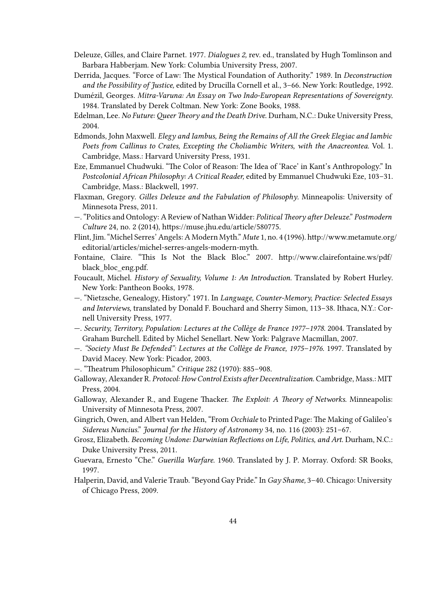- Deleuze, Gilles, and Claire Parnet. 1977. *Dialogues 2,* rev. ed., translated by Hugh Tomlinson and Barbara Habberjam. New York: Columbia University Press, 2007.
- Derrida, Jacques. "Force of Law: The Mystical Foundation of Authority." 1989. In *Deconstruction and the Possibility of Justice,* edited by Drucilla Cornell et al., 3–66. New York: Routledge, 1992.
- Dumézil, Georges. *Mitra-Varuna: An Essay on Two Indo-European Representations of Sovereignty*. 1984. Translated by Derek Coltman. New York: Zone Books, 1988.
- Edelman, Lee. *No Future:Queer Theory and the Death Drive*. Durham, N.C.: Duke University Press, 2004.
- Edmonds, John Maxwell. *Elegy and Iambus, Being the Remains of All the Greek Elegiac and Iambic Poets from Callinus to Crates, Excepting the Choliambic Writers, with the Anacreontea*. Vol. 1. Cambridge, Mass.: Harvard University Press, 1931.
- Eze, Emmanuel Chudwuki. "The Color of Reason: The Idea of 'Race' in Kant's Anthropology." In *Postcolonial African Philosophy: A Critical Reader,* edited by Emmanuel Chudwuki Eze, 103–31. Cambridge, Mass.: Blackwell, 1997.
- Flaxman, Gregory. *Gilles Deleuze and the Fabulation of Philosophy*. Minneapolis: University of Minnesota Press, 2011.
- —. "Politics and Ontology: A Review of Nathan Widder: *Political Theory after Deleuze*." *Postmodern Culture* 24, no. 2 (2014), [https://muse.jhu.edu/article/580775.](https://muse.jhu.edu/article/580775)
- Flint, Jim. "Michel Serres' Angels: A Modern Myth." *Mute* 1, no. 4 (1996). [http://www.metamute.org/](http://www.metamute.org/editorial/articles/michel-serres-angels-modern-myth) [editorial/articles/michel-serres-angels-modern-myth.](http://www.metamute.org/editorial/articles/michel-serres-angels-modern-myth)
- Fontaine, Claire. "This Is Not the Black Bloc." 2007. [http://www.clairefontaine.ws/pdf/](http://www.clairefontaine.ws/pdf/black_bloc_eng.pdf) [black\\_bloc\\_eng.pdf](http://www.clairefontaine.ws/pdf/black_bloc_eng.pdf).
- Foucault, Michel. *History of Sexuality, Volume 1: An Introduction*. Translated by Robert Hurley. New York: Pantheon Books, 1978.
- —. "Nietzsche, Genealogy, History." 1971. In *Language, Counter-Memory, Practice: Selected Essays and Interviews,* translated by Donald F. Bouchard and Sherry Simon, 113–38. Ithaca, N.Y.: Cornell University Press, 1977.
- —. *Security, Territory, Population: Lectures at the Collège de France 1977–1978*. 2004. Translated by Graham Burchell. Edited by Michel Senellart. New York: Palgrave Macmillan, 2007.
- —. *"Society Must Be Defended": Lectures at the Collège de France, 1975–1976*. 1997. Translated by David Macey. New York: Picador, 2003.
- —. "Theatrum Philosophicum." *Critique* 282 (1970): 885–908.
- Galloway, Alexander R. *Protocol: How Control Exists after Decentralization*. Cambridge, Mass.: MIT Press, 2004.
- Galloway, Alexander R., and Eugene Thacker. *The Exploit: A Theory of Networks*. Minneapolis: University of Minnesota Press, 2007.
- Gingrich, Owen, and Albert van Helden, "From *Occhiale* to Printed Page: The Making of Galileo's *Sidereus Nuncius*." *Journal for the History of Astronomy* 34, no. 116 (2003): 251–67.
- Grosz, Elizabeth. *Becoming Undone: Darwinian Reflections on Life, Politics, and Art*. Durham, N.C.: Duke University Press, 2011.
- Guevara, Ernesto "Che." *Guerilla Warfare*. 1960. Translated by J. P. Morray. Oxford: SR Books, 1997.
- Halperin, David, and Valerie Traub. "Beyond Gay Pride." In *Gay Shame,* 3–40. Chicago: University of Chicago Press, 2009.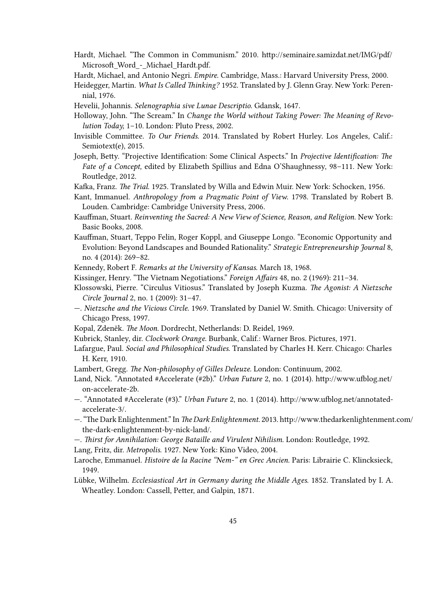- Hardt, Michael. "The Common in Communism." 2010. [http://seminaire.samizdat.net/IMG/pdf/](http://seminaire.samizdat.net/IMG/pdf/Microsoft_Word_-_Michael_Hardt.pdf) [Microsoft\\_Word\\_-\\_Michael\\_Hardt.pdf.](http://seminaire.samizdat.net/IMG/pdf/Microsoft_Word_-_Michael_Hardt.pdf)
- Hardt, Michael, and Antonio Negri. *Empire*. Cambridge, Mass.: Harvard University Press, 2000.
- Heidegger, Martin. *What Is Called Thinking?* 1952. Translated by J. Glenn Gray. New York: Perennial, 1976.
- Hevelii, Johannis. *Selenographia sive Lunae Descriptio*. Gdansk, 1647.
- Holloway, John. "The Scream." In *Change the World without Taking Power: The Meaning of Revolution Today,* 1–10. London: Pluto Press, 2002.
- Invisible Committee. *To Our Friends*. 2014. Translated by Robert Hurley. Los Angeles, Calif.: Semiotext(e), 2015.
- Joseph, Betty. "Projective Identification: Some Clinical Aspects." In *Projective Identification: The Fate of a Concept,* edited by Elizabeth Spillius and Edna O'Shaughnessy, 98–111. New York: Routledge, 2012.
- Kafka, Franz. *The Trial*. 1925. Translated by Willa and Edwin Muir. New York: Schocken, 1956.
- Kant, Immanuel. *Anthropology from a Pragmatic Point of View*. 1798. Translated by Robert B. Louden. Cambridge: Cambridge University Press, 2006.
- Kauffman, Stuart. *Reinventing the Sacred: A New View of Science, Reason, and Religion*. New York: Basic Books, 2008.
- Kauffman, Stuart, Teppo Felin, Roger Koppl, and Giuseppe Longo. "Economic Opportunity and Evolution: Beyond Landscapes and Bounded Rationality." *Strategic Entrepreneurship Journal* 8, no. 4 (2014): 269–82.
- Kennedy, Robert F. *Remarks at the University of Kansas*. March 18, 1968.
- Kissinger, Henry. "The Vietnam Negotiations." *Foreign Affairs* 48, no. 2 (1969): 211–34.
- Klossowski, Pierre. "Circulus Vitiosus." Translated by Joseph Kuzma. *The Agonist: A Nietzsche Circle Journal* 2, no. 1 (2009): 31–47.
- —. *Nietzsche and the Vicious Circle*. 1969. Translated by Daniel W. Smith. Chicago: University of Chicago Press, 1997.
- Kopal, Zdeněk. *The Moon*. Dordrecht, Netherlands: D. Reidel, 1969.
- Kubrick, Stanley, dir. *Clockwork Orange*. Burbank, Calif.: Warner Bros. Pictures, 1971.
- Lafargue, Paul. *Social and Philosophical Studies*. Translated by Charles H. Kerr. Chicago: Charles H. Kerr, 1910.
- Lambert, Gregg. *The Non-philosophy of Gilles Deleuze*. London: Continuum, 2002.
- Land, Nick. "Annotated #Accelerate (#2b)." *Urban Future* 2, no. 1 (2014). [http://www.ufblog.net/](http://www.ufblog.net/on-accelerate-2b) [on-accelerate-2b.](http://www.ufblog.net/on-accelerate-2b)
- —. "Annotated #Accelerate (#3)." *Urban Future* 2, no. 1 (2014). [http://www.ufblog.net/annotated](http://www.ufblog.net/annotated-accelerate-3/)[accelerate-3/.](http://www.ufblog.net/annotated-accelerate-3/)
- —. "The Dark Enlightenment." In *The Dark Enlightenment*. 2013. [http://www.thedarkenlightenment.com/](http://www.thedarkenlightenment.com/the-dark-enlightenment-by-nick-land/) [the-dark-enlightenment-by-nick-land/.](http://www.thedarkenlightenment.com/the-dark-enlightenment-by-nick-land/)
- —. *Thirst for Annihilation: George Bataille and Virulent Nihilism*. London: Routledge, 1992.

Lang, Fritz, dir. *Metropolis*. 1927. New York: Kino Video, 2004.

- Laroche, Emmanuel. *Histoire de la Racine "Nem-" en Grec Ancien*. Paris: Librairie C. Klincksieck, 1949.
- Lübke, Wilhelm. *Ecclesiastical Art in Germany during the Middle Ages*. 1852. Translated by I. A. Wheatley. London: Cassell, Petter, and Galpin, 1871.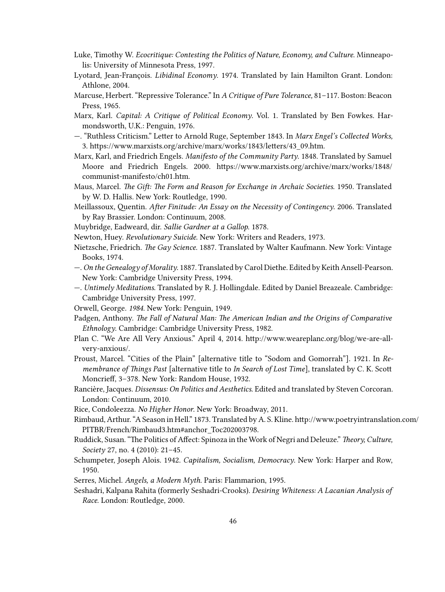- Luke, Timothy W. *Ecocritique: Contesting the Politics of Nature, Economy, and Culture*. Minneapolis: University of Minnesota Press, 1997.
- Lyotard, Jean-François. *Libidinal Economy*. 1974. Translated by Iain Hamilton Grant. London: Athlone, 2004.
- Marcuse, Herbert. "Repressive Tolerance." In *A Critique of Pure Tolerance,* 81–117. Boston: Beacon Press, 1965.
- Marx, Karl. *Capital: A Critique of Political Economy*. Vol. 1. Translated by Ben Fowkes. Harmondsworth, U.K.: Penguin, 1976.
- —. "Ruthless Criticism." Letter to Arnold Ruge, September 1843. In *Marx Engel's Collected Works,* 3. [https://www.marxists.org/archive/marx/works/1843/letters/43\\_09.htm.](https://www.marxists.org/archive/marx/works/1843/letters/43_09.htm)
- Marx, Karl, and Friedrich Engels. *Manifesto of the Community Party*. 1848. Translated by Samuel Moore and Friedrich Engels. 2000. [https://www.marxists.org/archive/marx/works/1848/](https://www.marxists.org/archive/marx/works/1848/communist-manifesto/ch01.htm) [communist-manifesto/ch01.htm](https://www.marxists.org/archive/marx/works/1848/communist-manifesto/ch01.htm).
- Maus, Marcel. *The Gift: The Form and Reason for Exchange in Archaic Societies*. 1950. Translated by W. D. Hallis. New York: Routledge, 1990.
- Meillassoux, Quentin. *After Finitude: An Essay on the Necessity of Contingency*. 2006. Translated by Ray Brassier. London: Continuum, 2008.
- Muybridge, Eadweard, dir. *Sallie Gardner at a Gallop*. 1878.
- Newton, Huey. *Revolutionary Suicide*. New York: Writers and Readers, 1973.
- Nietzsche, Friedrich. *The Gay Science*. 1887. Translated by Walter Kaufmann. New York: Vintage Books, 1974.
- —. *On the Genealogy of Morality*. 1887. Translated by Carol Diethe. Edited by Keith Ansell-Pearson. New York: Cambridge University Press, 1994.
- —. *Untimely Meditations*. Translated by R. J. Hollingdale. Edited by Daniel Breazeale. Cambridge: Cambridge University Press, 1997.
- Orwell, George. *1984.* New York: Penguin, 1949.
- Padgen, Anthony. *The Fall of Natural Man: The American Indian and the Origins of Comparative Ethnology*. Cambridge: Cambridge University Press, 1982.
- Plan C. "We Are All Very Anxious." April 4, 2014. [http://www.weareplanc.org/blog/we-are-all](http://www.weareplanc.org/blog/we-are-all-very-anxious/)[very-anxious/.](http://www.weareplanc.org/blog/we-are-all-very-anxious/)
- Proust, Marcel. "Cities of the Plain" [alternative title to "Sodom and Gomorrah"]. 1921. In *Remembrance of Things Past* [alternative title to *In Search of Lost Time*], translated by C. K. Scott Moncrieff, 3–378. New York: Random House, 1932.
- Rancière, Jacques. *Dissensus: On Politics and Aesthetics*. Edited and translated by Steven Corcoran. London: Continuum, 2010.
- Rice, Condoleezza. *No Higher Honor*. New York: Broadway, 2011.
- Rimbaud, Arthur. "A Season in Hell." 1873. Translated by A. S. Kline. [http://www.poetryintranslation.com/](http://www.poetryintranslation.com/PITBR/French/Rimbaud3.htm#anchor_Toc202003798) [PITBR/French/Rimbaud3.htm#anchor\\_Toc202003798](http://www.poetryintranslation.com/PITBR/French/Rimbaud3.htm#anchor_Toc202003798).
- Ruddick, Susan. "The Politics of Affect: Spinoza in the Work of Negri and Deleuze." *Theory, Culture, Society* 27, no. 4 (2010): 21–45.
- Schumpeter, Joseph Alois. 1942. *Capitalism, Socialism, Democracy*. New York: Harper and Row, 1950.
- Serres, Michel. *Angels, a Modern Myth*. Paris: Flammarion, 1995.
- Seshadri, Kalpana Rahita (formerly Seshadri-Crooks). *Desiring Whiteness: A Lacanian Analysis of Race*. London: Routledge, 2000.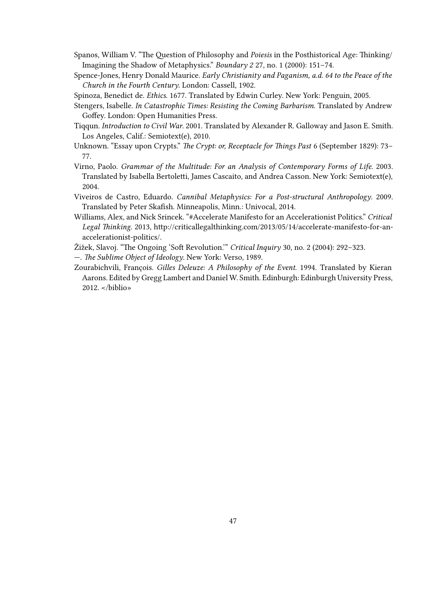- Spanos, William V. "The Question of Philosophy and *Poiesis* in the Posthistorical Age: Thinking/ Imagining the Shadow of Metaphysics." *Boundary 2* 27, no. 1 (2000): 151–74.
- Spence-Jones, Henry Donald Maurice. *Early Christianity and Paganism, a.d. 64 to the Peace of the Church in the Fourth Century*. London: Cassell, 1902.
- Spinoza, Benedict de. *Ethics*. 1677. Translated by Edwin Curley. New York: Penguin, 2005.
- Stengers, Isabelle. *In Catastrophic Times: Resisting the Coming Barbarism*. Translated by Andrew Goffey. London: Open Humanities Press.
- Tiqqun. *Introduction to Civil War*. 2001. Translated by Alexander R. Galloway and Jason E. Smith. Los Angeles, Calif.: Semiotext(e), 2010.
- Unknown. "Essay upon Crypts." *The Crypt: or, Receptacle for Things Past* 6 (September 1829): 73– 77.
- Virno, Paolo. *Grammar of the Multitude: For an Analysis of Contemporary Forms of Life*. 2003. Translated by Isabella Bertoletti, James Cascaito, and Andrea Casson. New York: Semiotext(e), 2004.
- Viveiros de Castro, Eduardo. *Cannibal Metaphysics: For a Post-structural Anthropology*. 2009. Translated by Peter Skafish. Minneapolis, Minn.: Univocal, 2014.
- Williams, Alex, and Nick Srincek. "#Accelerate Manifesto for an Accelerationist Politics." *Critical Legal Thinking*. 2013, [http://criticallegalthinking.com/2013/05/14/accelerate-manifesto-for-an](http://criticallegalthinking.com/2013/05/14/accelerate-manifesto-for-an-accelerationist-politics/)[accelerationist-politics/](http://criticallegalthinking.com/2013/05/14/accelerate-manifesto-for-an-accelerationist-politics/).
- Žižek, Slavoj. "The Ongoing 'Soft Revolution.'" *Critical Inquiry* 30, no. 2 (2004): 292–323.
- —. *The Sublime Object of Ideology*. New York: Verso, 1989.
- Zourabichvili, François. *Gilles Deleuze: A Philosophy of the Event*. 1994. Translated by Kieran Aarons. Edited by Gregg Lambert and Daniel W. Smith. Edinburgh: Edinburgh University Press, 2012. </biblio»